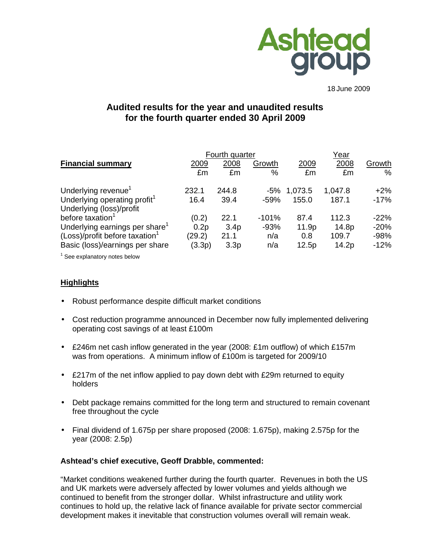

18 June 2009

# **Audited results for the year and unaudited results for the fourth quarter ended 30 April 2009**

|                                            |        | Fourth quarter   |         | Year    |         |        |
|--------------------------------------------|--------|------------------|---------|---------|---------|--------|
| <b>Financial summary</b>                   | 2009   | 2008             | Growth  | 2009    | 2008    | Growth |
|                                            | £m     | £m               | %       | £m      | £m      | $\%$   |
| Underlying revenue <sup>1</sup>            | 232.1  | 244.8            | -5%     | 1,073.5 | 1,047.8 | $+2%$  |
| Underlying operating profit <sup>1</sup>   | 16.4   | 39.4             | $-59%$  | 155.0   | 187.1   | $-17%$ |
| Underlying (loss)/profit                   |        |                  |         |         |         |        |
| before taxation <sup>1</sup>               | (0.2)  | 22.1             | $-101%$ | 87.4    | 112.3   | $-22%$ |
| Underlying earnings per share <sup>1</sup> | 0.2p   | 3.4 <sub>p</sub> | $-93%$  | 11.9p   | 14.8p   | $-20%$ |
| (Loss)/profit before taxation <sup>1</sup> | (29.2) | 21.1             | n/a     | 0.8     | 109.7   | $-98%$ |
| Basic (loss)/earnings per share            | (3.3p) | 3.3 <sub>p</sub> | n/a     | 12.5p   | 14.2p   | $-12%$ |

 $1$  See explanatory notes below

# **Highlights**

- Robust performance despite difficult market conditions
- Cost reduction programme announced in December now fully implemented delivering operating cost savings of at least £100m
- £246m net cash inflow generated in the year (2008: £1m outflow) of which £157m was from operations. A minimum inflow of £100m is targeted for 2009/10
- £217m of the net inflow applied to pay down debt with £29m returned to equity holders
- Debt package remains committed for the long term and structured to remain covenant free throughout the cycle
- Final dividend of 1.675p per share proposed (2008: 1.675p), making 2.575p for the year (2008: 2.5p)

#### **Ashtead's chief executive, Geoff Drabble, commented:**

"Market conditions weakened further during the fourth quarter. Revenues in both the US and UK markets were adversely affected by lower volumes and yields although we continued to benefit from the stronger dollar. Whilst infrastructure and utility work continues to hold up, the relative lack of finance available for private sector commercial development makes it inevitable that construction volumes overall will remain weak.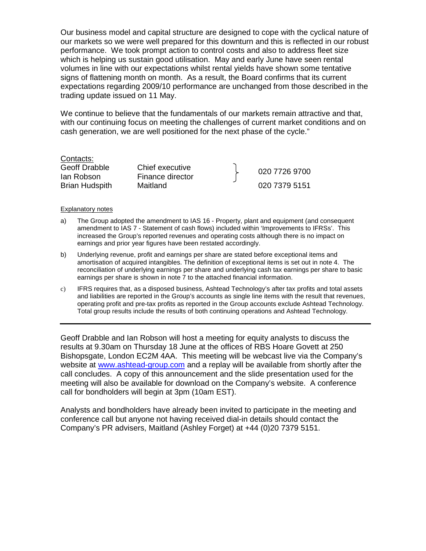Our business model and capital structure are designed to cope with the cyclical nature of our markets so we were well prepared for this downturn and this is reflected in our robust performance. We took prompt action to control costs and also to address fleet size which is helping us sustain good utilisation. May and early June have seen rental volumes in line with our expectations whilst rental yields have shown some tentative signs of flattening month on month. As a result, the Board confirms that its current expectations regarding 2009/10 performance are unchanged from those described in the trading update issued on 11 May.

We continue to believe that the fundamentals of our markets remain attractive and that, with our continuing focus on meeting the challenges of current market conditions and on cash generation, we are well positioned for the next phase of the cycle."

#### Contacts:

# Geoff Drabble Chief executive

Geon Diabble Chilet executive<br>Ian Robson Finance director France Research Brian Hudspith Maitland 020 7379 5151

#### Explanatory notes

- a) The Group adopted the amendment to IAS 16 Property, plant and equipment (and consequent amendment to IAS 7 - Statement of cash flows) included within 'Improvements to IFRSs'. This increased the Group's reported revenues and operating costs although there is no impact on earnings and prior year figures have been restated accordingly.
- b) Underlying revenue, profit and earnings per share are stated before exceptional items and amortisation of acquired intangibles. The definition of exceptional items is set out in note 4. The reconciliation of underlying earnings per share and underlying cash tax earnings per share to basic earnings per share is shown in note 7 to the attached financial information.
- c) IFRS requires that, as a disposed business, Ashtead Technology's after tax profits and total assets and liabilities are reported in the Group's accounts as single line items with the result that revenues, operating profit and pre-tax profits as reported in the Group accounts exclude Ashtead Technology. Total group results include the results of both continuing operations and Ashtead Technology.

Geoff Drabble and Ian Robson will host a meeting for equity analysts to discuss the results at 9.30am on Thursday 18 June at the offices of RBS Hoare Govett at 250 Bishopsgate, London EC2M 4AA. This meeting will be webcast live via the Company's website at www.ashtead-group.com and a replay will be available from shortly after the call concludes. A copy of this announcement and the slide presentation used for the meeting will also be available for download on the Company's website. A conference call for bondholders will begin at 3pm (10am EST).

Analysts and bondholders have already been invited to participate in the meeting and conference call but anyone not having received dial-in details should contact the Company's PR advisers, Maitland (Ashley Forget) at +44 (0)20 7379 5151.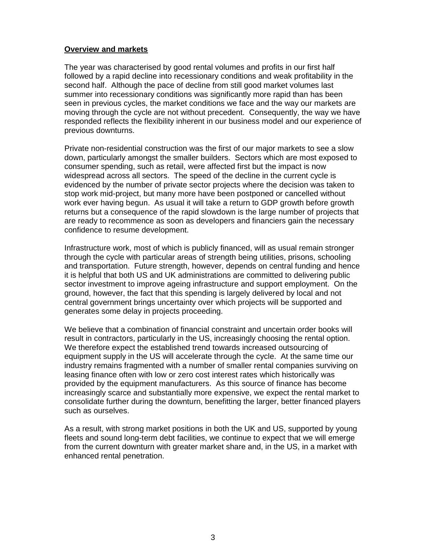### **Overview and markets**

The year was characterised by good rental volumes and profits in our first half followed by a rapid decline into recessionary conditions and weak profitability in the second half. Although the pace of decline from still good market volumes last summer into recessionary conditions was significantly more rapid than has been seen in previous cycles, the market conditions we face and the way our markets are moving through the cycle are not without precedent. Consequently, the way we have responded reflects the flexibility inherent in our business model and our experience of previous downturns.

Private non-residential construction was the first of our major markets to see a slow down, particularly amongst the smaller builders. Sectors which are most exposed to consumer spending, such as retail, were affected first but the impact is now widespread across all sectors. The speed of the decline in the current cycle is evidenced by the number of private sector projects where the decision was taken to stop work mid-project, but many more have been postponed or cancelled without work ever having begun. As usual it will take a return to GDP growth before growth returns but a consequence of the rapid slowdown is the large number of projects that are ready to recommence as soon as developers and financiers gain the necessary confidence to resume development.

Infrastructure work, most of which is publicly financed, will as usual remain stronger through the cycle with particular areas of strength being utilities, prisons, schooling and transportation. Future strength, however, depends on central funding and hence it is helpful that both US and UK administrations are committed to delivering public sector investment to improve ageing infrastructure and support employment. On the ground, however, the fact that this spending is largely delivered by local and not central government brings uncertainty over which projects will be supported and generates some delay in projects proceeding.

We believe that a combination of financial constraint and uncertain order books will result in contractors, particularly in the US, increasingly choosing the rental option. We therefore expect the established trend towards increased outsourcing of equipment supply in the US will accelerate through the cycle. At the same time our industry remains fragmented with a number of smaller rental companies surviving on leasing finance often with low or zero cost interest rates which historically was provided by the equipment manufacturers. As this source of finance has become increasingly scarce and substantially more expensive, we expect the rental market to consolidate further during the downturn, benefitting the larger, better financed players such as ourselves.

As a result, with strong market positions in both the UK and US, supported by young fleets and sound long-term debt facilities, we continue to expect that we will emerge from the current downturn with greater market share and, in the US, in a market with enhanced rental penetration.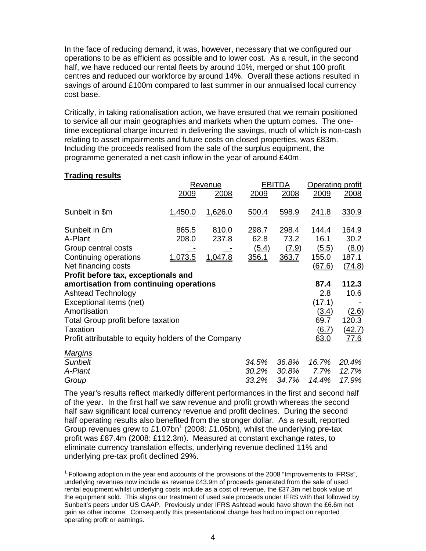In the face of reducing demand, it was, however, necessary that we configured our operations to be as efficient as possible and to lower cost. As a result, in the second half, we have reduced our rental fleets by around 10%, merged or shut 100 profit centres and reduced our workforce by around 14%. Overall these actions resulted in savings of around £100m compared to last summer in our annualised local currency cost base.

Critically, in taking rationalisation action, we have ensured that we remain positioned to service all our main geographies and markets when the upturn comes. The onetime exceptional charge incurred in delivering the savings, much of which is non-cash relating to asset impairments and future costs on closed properties, was £83m. Including the proceeds realised from the sale of the surplus equipment, the programme generated a net cash inflow in the year of around £40m.

### **Trading results**

 $\overline{a}$ 

|                                                      |         | Revenue |       | <b>EBITDA</b> |              | Operating profit |  |
|------------------------------------------------------|---------|---------|-------|---------------|--------------|------------------|--|
|                                                      | 2009    | 2008    | 2009  | 2008          | 2009         | 2008             |  |
| Sunbelt in \$m                                       | 1,450.0 | 1,626.0 | 500.4 | 598.9         | <u>241.8</u> | 330.9            |  |
| Sunbelt in £m                                        | 865.5   | 810.0   | 298.7 | 298.4         | 144.4        | 164.9            |  |
| A-Plant                                              | 208.0   | 237.8   | 62.8  | 73.2          | 16.1         | 30.2             |  |
| Group central costs                                  |         |         | (5.4) | (7.9)         | (5.5)        | (8.0)            |  |
| Continuing operations                                | 1,073.5 | 1,047.8 | 356.1 | 363.7         | 155.0        | 187.1            |  |
| Net financing costs                                  |         |         |       |               | (67.6)       | (74.8)           |  |
| Profit before tax, exceptionals and                  |         |         |       |               |              |                  |  |
| amortisation from continuing operations              |         |         |       |               | 87.4         | 112.3            |  |
| <b>Ashtead Technology</b>                            |         |         |       |               | 2.8          | 10.6             |  |
| Exceptional items (net)                              |         |         |       |               | (17.1)       |                  |  |
| Amortisation                                         |         |         |       |               | (3.4)        | (2.6)            |  |
| Total Group profit before taxation                   |         |         |       |               | 69.7         | 120.3            |  |
| Taxation                                             |         |         |       |               | <u>(6.7)</u> | (42.7)           |  |
| Profit attributable to equity holders of the Company |         |         |       |               | 63.0         | <u>77.6</u>      |  |
| <b>Margins</b>                                       |         |         |       |               |              |                  |  |
| <b>Sunbelt</b>                                       |         |         | 34.5% | 36.8%         | 16.7%        | 20.4%            |  |
| A-Plant                                              |         |         | 30.2% | 30.8%         | 7.7%         | 12.7%            |  |
| Group                                                |         |         | 33.2% | 34.7%         | 14.4%        | 17.9%            |  |

The year's results reflect markedly different performances in the first and second half of the year. In the first half we saw revenue and profit growth whereas the second half saw significant local currency revenue and profit declines. During the second half operating results also benefited from the stronger dollar. As a result, reported Group revenues grew to £1.07bn<sup>1</sup> (2008: £1.05bn), whilst the underlying pre-tax profit was £87.4m (2008: £112.3m). Measured at constant exchange rates, to eliminate currency translation effects, underlying revenue declined 11% and underlying pre-tax profit declined 29%.

 $1$  Following adoption in the year end accounts of the provisions of the 2008 "Improvements to IFRSs", underlying revenues now include as revenue £43.9m of proceeds generated from the sale of used rental equipment whilst underlying costs include as a cost of revenue, the £37.3m net book value of the equipment sold. This aligns our treatment of used sale proceeds under IFRS with that followed by Sunbelt's peers under US GAAP. Previously under IFRS Ashtead would have shown the £6.6m net gain as other income. Consequently this presentational change has had no impact on reported operating profit or earnings.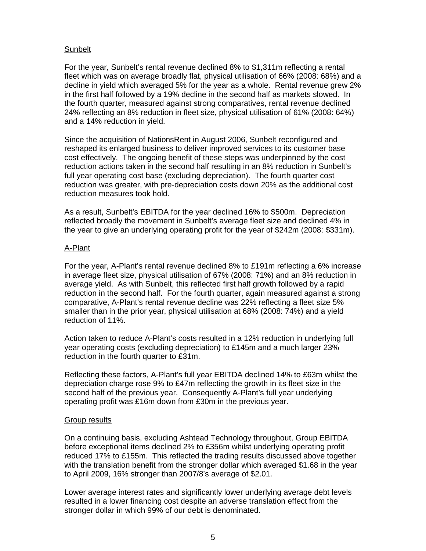# Sunbelt

For the year, Sunbelt's rental revenue declined 8% to \$1,311m reflecting a rental fleet which was on average broadly flat, physical utilisation of 66% (2008: 68%) and a decline in yield which averaged 5% for the year as a whole. Rental revenue grew 2% in the first half followed by a 19% decline in the second half as markets slowed. In the fourth quarter, measured against strong comparatives, rental revenue declined 24% reflecting an 8% reduction in fleet size, physical utilisation of 61% (2008: 64%) and a 14% reduction in yield.

Since the acquisition of NationsRent in August 2006, Sunbelt reconfigured and reshaped its enlarged business to deliver improved services to its customer base cost effectively. The ongoing benefit of these steps was underpinned by the cost reduction actions taken in the second half resulting in an 8% reduction in Sunbelt's full year operating cost base (excluding depreciation). The fourth quarter cost reduction was greater, with pre-depreciation costs down 20% as the additional cost reduction measures took hold.

As a result, Sunbelt's EBITDA for the year declined 16% to \$500m. Depreciation reflected broadly the movement in Sunbelt's average fleet size and declined 4% in the year to give an underlying operating profit for the year of \$242m (2008: \$331m).

# A-Plant

For the year, A-Plant's rental revenue declined 8% to £191m reflecting a 6% increase in average fleet size, physical utilisation of 67% (2008: 71%) and an 8% reduction in average yield. As with Sunbelt, this reflected first half growth followed by a rapid reduction in the second half. For the fourth quarter, again measured against a strong comparative, A-Plant's rental revenue decline was 22% reflecting a fleet size 5% smaller than in the prior year, physical utilisation at 68% (2008: 74%) and a yield reduction of 11%.

Action taken to reduce A-Plant's costs resulted in a 12% reduction in underlying full year operating costs (excluding depreciation) to £145m and a much larger 23% reduction in the fourth quarter to £31m.

Reflecting these factors, A-Plant's full year EBITDA declined 14% to £63m whilst the depreciation charge rose 9% to £47m reflecting the growth in its fleet size in the second half of the previous year. Consequently A-Plant's full year underlying operating profit was £16m down from £30m in the previous year.

# Group results

On a continuing basis, excluding Ashtead Technology throughout, Group EBITDA before exceptional items declined 2% to £356m whilst underlying operating profit reduced 17% to £155m. This reflected the trading results discussed above together with the translation benefit from the stronger dollar which averaged \$1.68 in the year to April 2009, 16% stronger than 2007/8's average of \$2.01.

Lower average interest rates and significantly lower underlying average debt levels resulted in a lower financing cost despite an adverse translation effect from the stronger dollar in which 99% of our debt is denominated.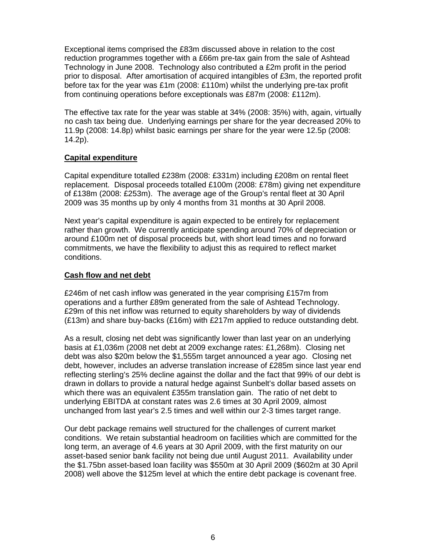Exceptional items comprised the £83m discussed above in relation to the cost reduction programmes together with a £66m pre-tax gain from the sale of Ashtead Technology in June 2008. Technology also contributed a £2m profit in the period prior to disposal. After amortisation of acquired intangibles of £3m, the reported profit before tax for the year was £1m (2008: £110m) whilst the underlying pre-tax profit from continuing operations before exceptionals was £87m (2008: £112m).

The effective tax rate for the year was stable at 34% (2008: 35%) with, again, virtually no cash tax being due. Underlying earnings per share for the year decreased 20% to 11.9p (2008: 14.8p) whilst basic earnings per share for the year were 12.5p (2008: 14.2p).

# **Capital expenditure**

Capital expenditure totalled £238m (2008: £331m) including £208m on rental fleet replacement. Disposal proceeds totalled £100m (2008: £78m) giving net expenditure of £138m (2008: £253m). The average age of the Group's rental fleet at 30 April 2009 was 35 months up by only 4 months from 31 months at 30 April 2008.

Next year's capital expenditure is again expected to be entirely for replacement rather than growth. We currently anticipate spending around 70% of depreciation or around £100m net of disposal proceeds but, with short lead times and no forward commitments, we have the flexibility to adjust this as required to reflect market conditions.

# **Cash flow and net debt**

£246m of net cash inflow was generated in the year comprising £157m from operations and a further £89m generated from the sale of Ashtead Technology. £29m of this net inflow was returned to equity shareholders by way of dividends (£13m) and share buy-backs (£16m) with £217m applied to reduce outstanding debt.

As a result, closing net debt was significantly lower than last year on an underlying basis at £1,036m (2008 net debt at 2009 exchange rates: £1,268m). Closing net debt was also \$20m below the \$1,555m target announced a year ago. Closing net debt, however, includes an adverse translation increase of £285m since last year end reflecting sterling's 25% decline against the dollar and the fact that 99% of our debt is drawn in dollars to provide a natural hedge against Sunbelt's dollar based assets on which there was an equivalent £355m translation gain. The ratio of net debt to underlying EBITDA at constant rates was 2.6 times at 30 April 2009, almost unchanged from last year's 2.5 times and well within our 2-3 times target range.

Our debt package remains well structured for the challenges of current market conditions. We retain substantial headroom on facilities which are committed for the long term, an average of 4.6 years at 30 April 2009, with the first maturity on our asset-based senior bank facility not being due until August 2011. Availability under the \$1.75bn asset-based loan facility was \$550m at 30 April 2009 (\$602m at 30 April 2008) well above the \$125m level at which the entire debt package is covenant free.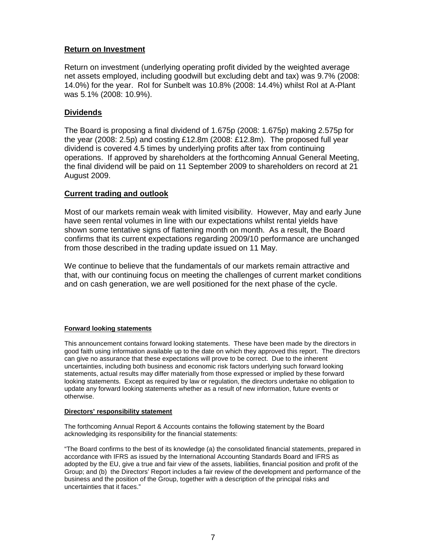# **Return on Investment**

Return on investment (underlying operating profit divided by the weighted average net assets employed, including goodwill but excluding debt and tax) was 9.7% (2008: 14.0%) for the year. RoI for Sunbelt was 10.8% (2008: 14.4%) whilst RoI at A-Plant was 5.1% (2008: 10.9%).

# **Dividends**

The Board is proposing a final dividend of 1.675p (2008: 1.675p) making 2.575p for the year (2008: 2.5p) and costing £12.8m (2008: £12.8m). The proposed full year dividend is covered 4.5 times by underlying profits after tax from continuing operations. If approved by shareholders at the forthcoming Annual General Meeting, the final dividend will be paid on 11 September 2009 to shareholders on record at 21 August 2009.

# **Current trading and outlook**

Most of our markets remain weak with limited visibility. However, May and early June have seen rental volumes in line with our expectations whilst rental yields have shown some tentative signs of flattening month on month. As a result, the Board confirms that its current expectations regarding 2009/10 performance are unchanged from those described in the trading update issued on 11 May.

We continue to believe that the fundamentals of our markets remain attractive and that, with our continuing focus on meeting the challenges of current market conditions and on cash generation, we are well positioned for the next phase of the cycle.

#### **Forward looking statements**

This announcement contains forward looking statements. These have been made by the directors in good faith using information available up to the date on which they approved this report. The directors can give no assurance that these expectations will prove to be correct. Due to the inherent uncertainties, including both business and economic risk factors underlying such forward looking statements, actual results may differ materially from those expressed or implied by these forward looking statements. Except as required by law or regulation, the directors undertake no obligation to update any forward looking statements whether as a result of new information, future events or otherwise.

#### **Directors' responsibility statement**

The forthcoming Annual Report & Accounts contains the following statement by the Board acknowledging its responsibility for the financial statements:

"The Board confirms to the best of its knowledge (a) the consolidated financial statements, prepared in accordance with IFRS as issued by the International Accounting Standards Board and IFRS as adopted by the EU, give a true and fair view of the assets, liabilities, financial position and profit of the Group; and (b) the Directors' Report includes a fair review of the development and performance of the business and the position of the Group, together with a description of the principal risks and uncertainties that it faces."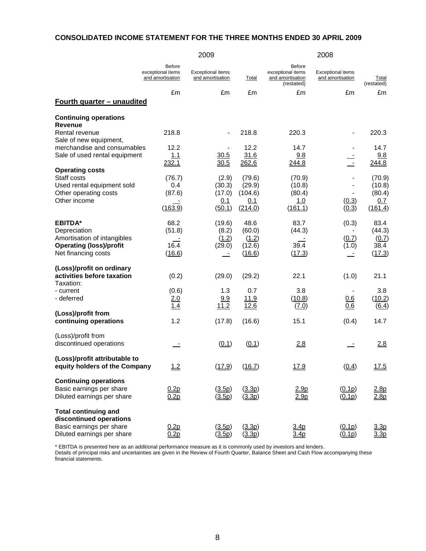#### **CONSOLIDATED INCOME STATEMENT FOR THE THREE MONTHS ENDED 30 APRIL 2009**

|                                                                                                                        |                                                        | 2009                                         |                                               |                                                               | 2008                                         |                                              |
|------------------------------------------------------------------------------------------------------------------------|--------------------------------------------------------|----------------------------------------------|-----------------------------------------------|---------------------------------------------------------------|----------------------------------------------|----------------------------------------------|
|                                                                                                                        | <b>Before</b><br>exceptional items<br>and amortisation | <b>Exceptional items</b><br>and amortisation | Total                                         | Before<br>exceptional items<br>and amortisation<br>(restated) | <b>Exceptional items</b><br>and amortisation | Total<br>(restated)                          |
| <u>Fourth quarter - unaudited</u>                                                                                      | £m                                                     | £m                                           | £m                                            | £m                                                            | £m                                           | £m                                           |
|                                                                                                                        |                                                        |                                              |                                               |                                                               |                                              |                                              |
| <b>Continuing operations</b><br><b>Revenue</b><br>Rental revenue                                                       | 218.8                                                  |                                              | 218.8                                         | 220.3                                                         |                                              | 220.3                                        |
| Sale of new equipment,<br>merchandise and consumables<br>Sale of used rental equipment                                 | 12.2<br>1.1<br>232.1                                   | 30.5<br>30.5                                 | 12.2<br>31.6<br>262.6                         | 14.7<br>9.8<br>244.8                                          | $\blacksquare$                               | 14.7<br>9.8<br>244.8                         |
| <b>Operating costs</b><br>Staff costs<br>Used rental equipment sold<br>Other operating costs<br>Other income           | (76.7)<br>0.4<br>(87.6)<br>(163.9)                     | (2.9)<br>(30.3)<br>(17.0)<br>0.1<br>(50.1)   | (79.6)<br>(29.9)<br>(104.6)<br>0.1<br>(214.0) | (70.9)<br>(10.8)<br>(80.4)<br>1.0<br>(161.1)                  | (0.3)<br>(0.3)                               | (70.9)<br>(10.8)<br>(80.4)<br>0.7<br>(161.4) |
| <b>EBITDA*</b><br>Depreciation<br>Amortisation of intangibles<br><b>Operating (loss)/profit</b><br>Net financing costs | 68.2<br>(51.8)<br>16.4<br>(16.6)                       | (19.6)<br>(8.2)<br>(1.2)<br>(29.0)           | 48.6<br>(60.0)<br>(1.2)<br>(12.6)<br>(16.6)   | 83.7<br>(44.3)<br>39.4<br>(17.3)                              | (0.3)<br>(0.7)<br>(1.0)                      | 83.4<br>(44.3)<br>(0.7)<br>38.4<br>(17.3)    |
| (Loss)/profit on ordinary<br>activities before taxation<br>Taxation:                                                   | (0.2)                                                  | (29.0)                                       | (29.2)                                        | 22.1                                                          | (1.0)                                        | 21.1                                         |
| - current<br>- deferred                                                                                                | (0.6)<br>2.0<br>1.4                                    | 1.3<br>9.9<br>11.2                           | 0.7<br><u>11.9</u><br>12.6                    | 3.8<br>(10.8)<br>(7.0)                                        | 0.6<br>0.6                                   | 3.8<br>(10.2)<br>(6.4)                       |
| (Loss)/profit from<br>continuing operations                                                                            | 1.2                                                    | (17.8)                                       | (16.6)                                        | 15.1                                                          | (0.4)                                        | 14.7                                         |
| (Loss)/profit from<br>discontinued operations                                                                          |                                                        | (0.1)                                        | (0.1)                                         | 2.8                                                           |                                              | 2.8                                          |
| (Loss)/profit attributable to<br>equity holders of the Company                                                         | 1.2                                                    | (17.9)                                       | (16.7)                                        | 17.9                                                          | (0.4)                                        | <u>17.5</u>                                  |
| <b>Continuing operations</b><br>Basic earnings per share<br>Diluted earnings per share                                 | 0.2p<br>0.2p                                           | (3.5p)<br>(3.5p)                             | (3.3p)<br>(3.3p)                              | 2.9 <sub>p</sub><br>2.9p                                      | (0.1p)<br>(0.1p)                             | 2.8p<br>2.8p                                 |
| <b>Total continuing and</b><br>discontinued operations<br>Basic earnings per share<br>Diluted earnings per share       | 0.2p<br>0.2p                                           | (3.5p)<br>(3.5p)                             | (3.3p)<br>(3.3p)                              | 3.4 <sub>p</sub><br>3.4 <sub>p</sub>                          | (0.1p)<br>(0.1p)                             | 3.3p<br>3.3 <sub>p</sub>                     |

\* EBITDA is presented here as an additional performance measure as it is commonly used by investors and lenders.

Details of principal risks and uncertainties are given in the Review of Fourth Quarter, Balance Sheet and Cash Flow accompanying these financial statements.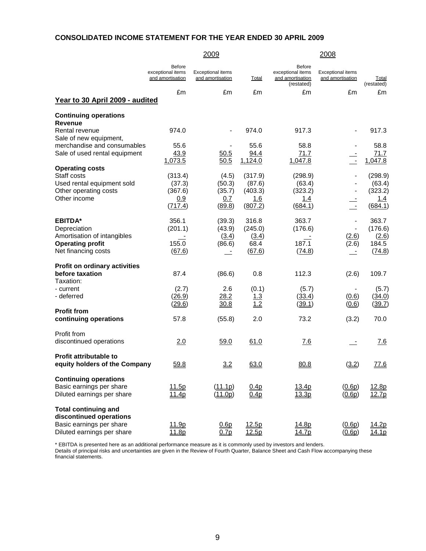# **CONSOLIDATED INCOME STATEMENT FOR THE YEAR ENDED 30 APRIL 2009**

|                                                                                                                  |                                                 | 2009                                         |                                                       | 2008                                                          |                                              |                                                       |  |
|------------------------------------------------------------------------------------------------------------------|-------------------------------------------------|----------------------------------------------|-------------------------------------------------------|---------------------------------------------------------------|----------------------------------------------|-------------------------------------------------------|--|
|                                                                                                                  | Before<br>exceptional items<br>and amortisation | <b>Exceptional items</b><br>and amortisation | <u>Total</u>                                          | Before<br>exceptional items<br>and amortisation<br>(restated) | <b>Exceptional items</b><br>and amortisation | <b>Total</b><br>(restated)                            |  |
| Year to 30 April 2009 - audited                                                                                  | £m                                              | £m                                           | £m                                                    | £m                                                            | £m                                           | £m                                                    |  |
| <b>Continuing operations</b>                                                                                     |                                                 |                                              |                                                       |                                                               |                                              |                                                       |  |
| Revenue<br>Rental revenue<br>Sale of new equipment,                                                              | 974.0                                           |                                              | 974.0                                                 | 917.3                                                         |                                              | 917.3                                                 |  |
| merchandise and consumables<br>Sale of used rental equipment                                                     | 55.6<br>43.9<br>1,073.5                         | 50.5<br>50.5                                 | 55.6<br>94.4<br>1,124.0                               | 58.8<br>71.7<br>1,047.8                                       | $\overline{\phantom{a}}$                     | 58.8<br>71.7<br>1,047.8                               |  |
| <b>Operating costs</b><br>Staff costs<br>Used rental equipment sold<br>Other operating costs<br>Other income     | (313.4)<br>(37.3)<br>(367.6)<br>0.9<br>(717.4)  | (4.5)<br>(50.3)<br>(35.7)<br>0.7<br>(89.8)   | (317.9)<br>(87.6)<br>(403.3)<br><u>1.6</u><br>(807.2) | (298.9)<br>(63.4)<br>(323.2)<br><u>1.4</u><br>(684.1)         | $\blacksquare$                               | (298.9)<br>(63.4)<br>(323.2)<br><u>1.4</u><br>(684.1) |  |
| <b>EBITDA*</b><br>Depreciation<br>Amortisation of intangibles<br><b>Operating profit</b><br>Net financing costs  | 356.1<br>(201.1)<br>155.0<br>(67.6)             | (39.3)<br>(43.9)<br>(3.4)<br>(86.6)          | 316.8<br>(245.0)<br>(3.4)<br>68.4<br>(67.6)           | 363.7<br>(176.6)<br>187.1<br>(74.8)                           | (2.6)<br>(2.6)                               | 363.7<br>(176.6)<br>(2.6)<br>184.5<br>(74.8)          |  |
| Profit on ordinary activities<br>before taxation<br>Taxation:                                                    | 87.4                                            | (86.6)                                       | 0.8                                                   | 112.3                                                         | (2.6)                                        | 109.7                                                 |  |
| - current<br>- deferred                                                                                          | (2.7)<br>(26.9)<br>(29.6)                       | 2.6<br>28.2<br>30.8                          | (0.1)<br><u> 1.3</u><br>1.2                           | (5.7)<br>(33.4)<br>(39.1)                                     | (0.6)<br>(0.6)                               | (5.7)<br>(34.0)<br>(39.7)                             |  |
| <b>Profit from</b><br>continuing operations                                                                      | 57.8                                            | (55.8)                                       | 2.0                                                   | 73.2                                                          | (3.2)                                        | 70.0                                                  |  |
| Profit from<br>discontinued operations                                                                           | 2.0                                             | 59.0                                         | 61.0                                                  | <u>7.6</u>                                                    | $\overline{\phantom{a}}$                     | <u>7.6</u>                                            |  |
| <b>Profit attributable to</b><br>equity holders of the Company                                                   | 59.8                                            | 3.2                                          | 63.0                                                  | 80.8                                                          | (3.2)                                        | 77.6                                                  |  |
| <b>Continuing operations</b><br>Basic earnings per share<br>Diluted earnings per share                           | 11.5p<br>11.4p                                  | $(\underline{11.1p})$<br>(11.0p)             | 0.4p<br>0.4p                                          | 13.4p<br><u>13.3p</u>                                         | (0.6p)<br>(0.6p)                             | 12.8p<br>12.7p                                        |  |
| <b>Total continuing and</b><br>discontinued operations<br>Basic earnings per share<br>Diluted earnings per share | 11.9p<br>11.8p                                  | 0.6p<br>0.7p                                 | 12.5p<br>12.5p                                        | 14.8p<br>14.7p                                                | (0.6p)<br>(0.6p)                             | 14.2p<br>14.1p                                        |  |

\* EBITDA is presented here as an additional performance measure as it is commonly used by investors and lenders.

Details of principal risks and uncertainties are given in the Review of Fourth Quarter, Balance Sheet and Cash Flow accompanying these financial statements.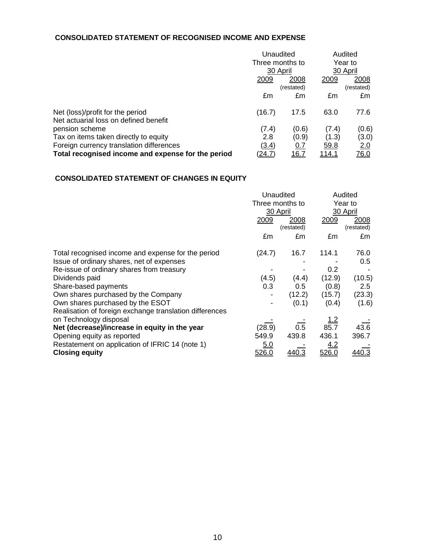### **CONSOLIDATED STATEMENT OF RECOGNISED INCOME AND EXPENSE**

|                                                         | Unaudited<br>Three months to<br>30 April |              | Audited<br>Year to<br>30 April |             |
|---------------------------------------------------------|------------------------------------------|--------------|--------------------------------|-------------|
|                                                         |                                          |              |                                |             |
|                                                         |                                          |              |                                |             |
|                                                         | 2009                                     | 2008         | 2009                           | 2008        |
|                                                         |                                          | (restated)   |                                | (restated)  |
|                                                         | £m                                       | £m           | £m                             | £m          |
| Net (loss)/profit for the period                        | (16.7)                                   | 17.5         | 63.0                           | 77.6        |
| Net actuarial loss on defined benefit<br>pension scheme | (7.4)                                    | (0.6)        | (7.4)                          | (0.6)       |
| Tax on items taken directly to equity                   | 2.8                                      | (0.9)        | (1.3)                          | (3.0)       |
| Foreign currency translation differences                | (3.4)                                    | <u>0.7</u>   | 59.8                           | 2.0         |
| Total recognised income and expense for the period      | <u>(24.7)</u>                            | <u> 16.7</u> | <u> 114.1</u>                  | <u>76.0</u> |

# **CONSOLIDATED STATEMENT OF CHANGES IN EQUITY**

|                                                         | Unaudited                   |              | Audited             |            |
|---------------------------------------------------------|-----------------------------|--------------|---------------------|------------|
|                                                         | Three months to<br>30 April |              | Year to<br>30 April |            |
|                                                         |                             |              |                     |            |
|                                                         | 2009                        | 2008         | 2009                | 2008       |
|                                                         |                             | (restated)   |                     | (restated) |
|                                                         | £m                          | £m           | £m                  | £m         |
| Total recognised income and expense for the period      | (24.7)                      | 16.7         | 114.1               | 76.0       |
| Issue of ordinary shares, net of expenses               |                             |              |                     | 0.5        |
| Re-issue of ordinary shares from treasury               |                             |              | 0.2                 |            |
| Dividends paid                                          | (4.5)                       | (4.4)        | (12.9)              | (10.5)     |
| Share-based payments                                    | 0.3                         | 0.5          | (0.8)               | 2.5        |
| Own shares purchased by the Company                     |                             | (12.2)       | (15.7)              | (23.3)     |
| Own shares purchased by the ESOT                        |                             | (0.1)        | (0.4)               | (1.6)      |
| Realisation of foreign exchange translation differences |                             |              |                     |            |
| on Technology disposal                                  |                             |              | <u>1.2</u>          |            |
| Net (decrease)/increase in equity in the year           | (28.9)                      | 0.5          | 85.7                | 43.6       |
| Opening equity as reported                              | 549.9                       | 439.8        | 436.1               | 396.7      |
| Restatement on application of IFRIC 14 (note 1)         | <u>5.0</u>                  |              | 4.2                 |            |
| <b>Closing equity</b>                                   | 526.0                       | <u>440.3</u> | 526.0               | 440.3      |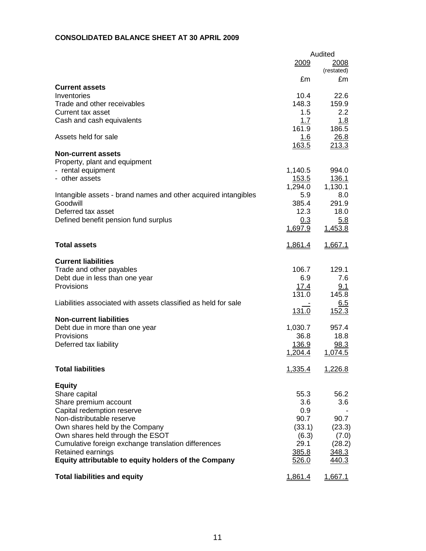### **CONSOLIDATED BALANCE SHEET AT 30 APRIL 2009**

|                                                                | Audited              |                  |  |  |
|----------------------------------------------------------------|----------------------|------------------|--|--|
|                                                                | 2009                 | 2008             |  |  |
|                                                                |                      | (restated)       |  |  |
|                                                                | £m                   | £m               |  |  |
| <b>Current assets</b>                                          |                      |                  |  |  |
| Inventories                                                    | 10.4                 | 22.6             |  |  |
| Trade and other receivables                                    | 148.3                | 159.9            |  |  |
| Current tax asset                                              | 1.5                  | 2.2              |  |  |
| Cash and cash equivalents                                      | 1.7                  | 1.8              |  |  |
|                                                                | 161.9                | 186.5            |  |  |
| Assets held for sale                                           | 1.6                  | 26.8             |  |  |
|                                                                | <u>163.5</u>         | 213.3            |  |  |
| <b>Non-current assets</b>                                      |                      |                  |  |  |
| Property, plant and equipment                                  |                      |                  |  |  |
| - rental equipment                                             | 1,140.5              | 994.0            |  |  |
| - other assets                                                 | <u>153.5</u>         | 136.1            |  |  |
|                                                                | 1,294.0              | 1,130.1          |  |  |
| Intangible assets - brand names and other acquired intangibles | 5.9                  | 8.0              |  |  |
| Goodwill                                                       | 385.4                | 291.9            |  |  |
| Deferred tax asset                                             | 12.3                 | 18.0             |  |  |
| Defined benefit pension fund surplus                           | 0.3                  | 5.8              |  |  |
|                                                                | 1,697.9              | 1,453.8          |  |  |
|                                                                |                      |                  |  |  |
| <b>Total assets</b>                                            | <u>1,861.4</u>       | <u>1.667.1</u>   |  |  |
|                                                                |                      |                  |  |  |
| <b>Current liabilities</b>                                     |                      |                  |  |  |
| Trade and other payables                                       | 106.7                | 129.1            |  |  |
| Debt due in less than one year                                 | 6.9                  | 7.6              |  |  |
| Provisions                                                     |                      | 9.1              |  |  |
|                                                                | <u>17.4</u><br>131.0 | 145.8            |  |  |
| Liabilities associated with assets classified as held for sale |                      |                  |  |  |
|                                                                |                      | 6.5              |  |  |
|                                                                | 131.0                | 152.3            |  |  |
| <b>Non-current liabilities</b>                                 |                      |                  |  |  |
| Debt due in more than one year                                 | 1,030.7              | 957.4            |  |  |
| Provisions                                                     | 36.8                 | 18.8             |  |  |
| Deferred tax liability                                         | 136.9                | 98.3             |  |  |
|                                                                | 1,204.4              | 1,074.5          |  |  |
|                                                                |                      |                  |  |  |
| <b>Total liabilities</b>                                       | 1,335.4              | 1,226.8          |  |  |
|                                                                |                      |                  |  |  |
| <b>Equity</b>                                                  |                      |                  |  |  |
| Share capital                                                  | 55.3                 | 56.2             |  |  |
| Share premium account                                          | 3.6                  | 3.6 <sub>1</sub> |  |  |
| Capital redemption reserve                                     | 0.9                  |                  |  |  |
| Non-distributable reserve                                      | 90.7                 | 90.7             |  |  |
| Own shares held by the Company                                 | (33.1)               | (23.3)           |  |  |
| Own shares held through the ESOT                               | (6.3)                | (7.0)            |  |  |
| Cumulative foreign exchange translation differences            | 29.1                 | (28.2)           |  |  |
| Retained earnings                                              | 385.8                | 348.3            |  |  |
| Equity attributable to equity holders of the Company           | 526.0                | 440.3            |  |  |
|                                                                |                      |                  |  |  |
| <b>Total liabilities and equity</b>                            | <u>1,861.4</u>       | <u>1,667.1</u>   |  |  |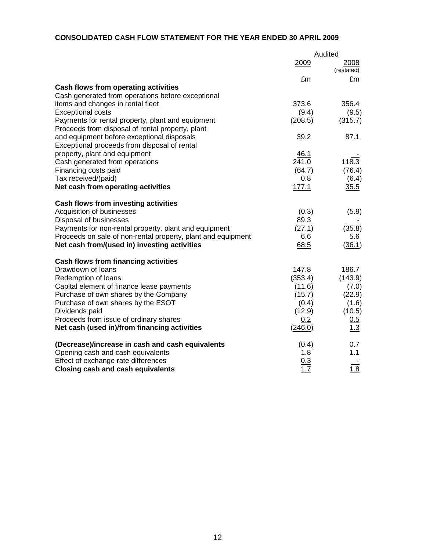# **CONSOLIDATED CASH FLOW STATEMENT FOR THE YEAR ENDED 30 APRIL 2009**

|                                                              | Audited |                    |  |
|--------------------------------------------------------------|---------|--------------------|--|
|                                                              | 2009    | 2008<br>(restated) |  |
|                                                              | £m      | £m                 |  |
| Cash flows from operating activities                         |         |                    |  |
| Cash generated from operations before exceptional            |         |                    |  |
| items and changes in rental fleet                            | 373.6   | 356.4              |  |
| <b>Exceptional costs</b>                                     | (9.4)   | (9.5)              |  |
| Payments for rental property, plant and equipment            | (208.5) | (315.7)            |  |
| Proceeds from disposal of rental property, plant             |         |                    |  |
| and equipment before exceptional disposals                   | 39.2    | 87.1               |  |
| Exceptional proceeds from disposal of rental                 |         |                    |  |
| property, plant and equipment                                | 46.1    |                    |  |
| Cash generated from operations                               | 241.0   | 118.3              |  |
| Financing costs paid                                         | (64.7)  | (76.4)             |  |
| Tax received/(paid)                                          | 0.8     | (6.4)              |  |
| Net cash from operating activities                           | 177.1   | 35.5               |  |
| <b>Cash flows from investing activities</b>                  |         |                    |  |
| Acquisition of businesses                                    | (0.3)   | (5.9)              |  |
| Disposal of businesses                                       | 89.3    |                    |  |
| Payments for non-rental property, plant and equipment        | (27.1)  | (35.8)             |  |
| Proceeds on sale of non-rental property, plant and equipment | 6.6     | <u>5.6</u>         |  |
| Net cash from/(used in) investing activities                 | 68.5    | (36.1)             |  |
| Cash flows from financing activities                         |         |                    |  |
| Drawdown of loans                                            | 147.8   | 186.7              |  |
| Redemption of loans                                          | (353.4) | (143.9)            |  |
| Capital element of finance lease payments                    | (11.6)  | (7.0)              |  |
| Purchase of own shares by the Company                        | (15.7)  | (22.9)             |  |
| Purchase of own shares by the ESOT                           | (0.4)   | (1.6)              |  |
| Dividends paid                                               | (12.9)  | (10.5)             |  |
| Proceeds from issue of ordinary shares                       | 0.2     | $\frac{0.5}{1.3}$  |  |
| Net cash (used in)/from financing activities                 | (246.0) |                    |  |
| (Decrease)/increase in cash and cash equivalents             | (0.4)   | 0.7                |  |
| Opening cash and cash equivalents                            | 1.8     | 1.1                |  |
| Effect of exchange rate differences                          | 0.3     |                    |  |
| <b>Closing cash and cash equivalents</b>                     | 1.7     | 1.8                |  |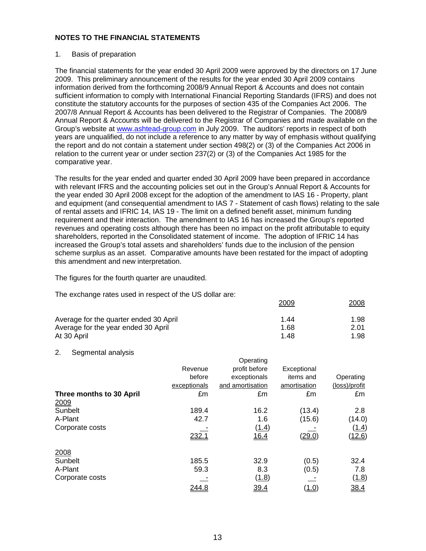#### 1. Basis of preparation

The financial statements for the year ended 30 April 2009 were approved by the directors on 17 June 2009. This preliminary announcement of the results for the year ended 30 April 2009 contains information derived from the forthcoming 2008/9 Annual Report & Accounts and does not contain sufficient information to comply with International Financial Reporting Standards (IFRS) and does not constitute the statutory accounts for the purposes of section 435 of the Companies Act 2006. The 2007/8 Annual Report & Accounts has been delivered to the Registrar of Companies. The 2008/9 Annual Report & Accounts will be delivered to the Registrar of Companies and made available on the Group's website at www.ashtead-group.com in July 2009. The auditors' reports in respect of both years are unqualified, do not include a reference to any matter by way of emphasis without qualifying the report and do not contain a statement under section 498(2) or (3) of the Companies Act 2006 in relation to the current year or under section 237(2) or (3) of the Companies Act 1985 for the comparative year.

The results for the year ended and quarter ended 30 April 2009 have been prepared in accordance with relevant IFRS and the accounting policies set out in the Group's Annual Report & Accounts for the year ended 30 April 2008 except for the adoption of the amendment to IAS 16 - Property, plant and equipment (and consequential amendment to IAS 7 - Statement of cash flows) relating to the sale of rental assets and IFRIC 14, IAS 19 - The limit on a defined benefit asset, minimum funding requirement and their interaction. The amendment to IAS 16 has increased the Group's reported revenues and operating costs although there has been no impact on the profit attributable to equity shareholders, reported in the Consolidated statement of income. The adoption of IFRIC 14 has increased the Group's total assets and shareholders' funds due to the inclusion of the pension scheme surplus as an asset. Comparative amounts have been restated for the impact of adopting this amendment and new interpretation.

The figures for the fourth quarter are unaudited.

The exchange rates used in respect of the US dollar are:

|                                        | 2009 | <u>2008</u> |
|----------------------------------------|------|-------------|
| Average for the quarter ended 30 April | 1.44 | 1.98        |
| Average for the year ended 30 April    | 1.68 | 2.01        |
| At 30 April                            | 148  | 1.98        |

 $\bigcap_{n=1}^{\infty}$ 

#### 2. Segmental analysis

|                          |              | Operating        |                |               |
|--------------------------|--------------|------------------|----------------|---------------|
|                          | Revenue      | profit before    | Exceptional    |               |
|                          | before       | exceptionals     | items and      | Operating     |
|                          | exceptionals | and amortisation | amortisation   | (loss)/profit |
| Three months to 30 April | £m           | £m               | £m             | £m            |
| 2009                     |              |                  |                |               |
| Sunbelt                  | 189.4        | 16.2             | (13.4)         | 2.8           |
| A-Plant                  | 42.7         | 1.6              | (15.6)         | (14.0)        |
| Corporate costs          |              | <u>(1.4)</u>     |                | <u>(1.4)</u>  |
|                          | 232.1        | 16.4             | (29.0)         | <u>(12.6)</u> |
| 2008                     |              |                  |                |               |
| Sunbelt                  | 185.5        | 32.9             | (0.5)          | 32.4          |
| A-Plant                  | 59.3         | 8.3              | (0.5)          | 7.8           |
| Corporate costs          |              | (1.8)            |                | (1.8)         |
|                          | 244.8        | 39.4             | ( <u>1.0</u> ) | 38.4          |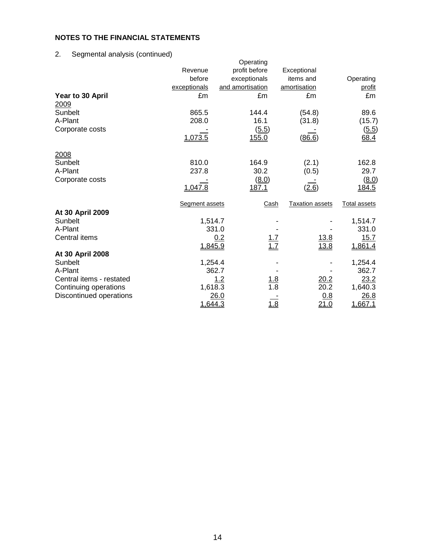# 2. Segmental analysis (continued)

|                          |                | Operating         |                        |                     |
|--------------------------|----------------|-------------------|------------------------|---------------------|
|                          | Revenue        | profit before     | Exceptional            |                     |
|                          | before         | exceptionals      | items and              | Operating           |
|                          | exceptionals   | and amortisation  | amortisation           | profit              |
| Year to 30 April         | £m             | £m                | £m                     | £m                  |
| 2009                     |                |                   |                        |                     |
| Sunbelt                  | 865.5          | 144.4             | (54.8)                 | 89.6                |
| A-Plant                  | 208.0          | 16.1              | (31.8)                 | (15.7)              |
| Corporate costs          |                | (5.5)             |                        | (5.5)               |
|                          | 1,073.5        | 155.0             | (86.6)                 | 68.4                |
| 2008                     |                |                   |                        |                     |
| Sunbelt                  | 810.0          | 164.9             | (2.1)                  | 162.8               |
| A-Plant                  | 237.8          | 30.2              | (0.5)                  | 29.7                |
| Corporate costs          |                | (8.0)             |                        | (8.0)               |
|                          | 1,047.8        | 187.1             | (2.6)                  | 184.5               |
|                          | Segment assets | Cash              | <b>Taxation assets</b> | <b>Total assets</b> |
| At 30 April 2009         |                |                   |                        |                     |
| Sunbelt                  | 1,514.7        |                   |                        | 1,514.7             |
| A-Plant                  |                | 331.0             |                        | 331.0               |
| Central items            |                | 0.2               | <u>13.8</u>            | 15.7                |
|                          | 1,845.9        | $\frac{1.7}{1.7}$ | 13.8                   | 1,861.4             |
| At 30 April 2008         |                |                   |                        |                     |
| Sunbelt                  | 1,254.4        |                   |                        | 1,254.4             |
| A-Plant                  |                | 362.7             |                        | 362.7               |
| Central items - restated |                | 1.2<br><u>1.8</u> | 20.2                   | 23.2                |
| Continuing operations    | 1,618.3        | 1.8               | 20.2                   | 1,640.3             |
| Discontinued operations  |                | 26.0              | 0.8                    | 26.8                |
|                          | 1,644.3        | $\frac{1.8}{}$    | 21.0                   | 1,667.1             |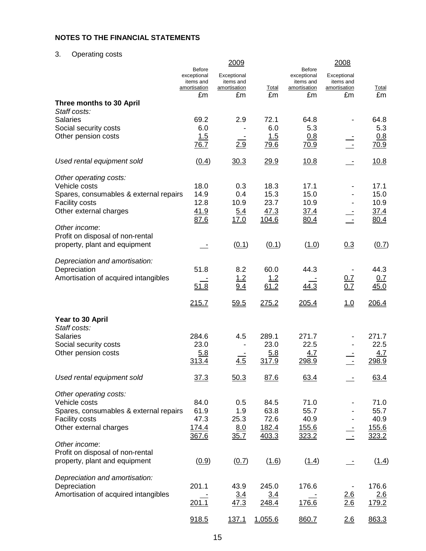3. Operating costs

|                                                 |                                                           | 2009                                     |                |                                                           | 2008                                     |               |
|-------------------------------------------------|-----------------------------------------------------------|------------------------------------------|----------------|-----------------------------------------------------------|------------------------------------------|---------------|
|                                                 | <b>Before</b><br>exceptional<br>items and<br>amortisation | Exceptional<br>items and<br>amortisation | <b>Total</b>   | <b>Before</b><br>exceptional<br>items and<br>amortisation | Exceptional<br>items and<br>amortisation | <b>Total</b>  |
|                                                 | £m                                                        | £m                                       | £m             | £m                                                        | £m                                       | £m            |
| Three months to 30 April<br>Staff costs:        |                                                           |                                          |                |                                                           |                                          |               |
| <b>Salaries</b>                                 | 69.2                                                      | 2.9                                      | 72.1           | 64.8                                                      |                                          | 64.8          |
| Social security costs                           | 6.0                                                       |                                          | 6.0            | 5.3                                                       |                                          | 5.3           |
| Other pension costs                             | 1.5<br>76.7                                               | 2.9                                      | 1.5<br>79.6    | 0.8<br>70.9                                               | $\sim$                                   | 0.8<br>70.9   |
| Used rental equipment sold                      | (0.4)                                                     | 30.3                                     | 29.9           | 10.8                                                      |                                          | 10.8          |
| Other operating costs:                          |                                                           |                                          |                |                                                           |                                          |               |
| Vehicle costs                                   | 18.0                                                      | 0.3                                      | 18.3           | 17.1                                                      |                                          | 17.1          |
| Spares, consumables & external repairs          | 14.9                                                      | 0.4                                      | 15.3           | 15.0                                                      |                                          | 15.0          |
| <b>Facility costs</b>                           | 12.8<br>41.9                                              | 10.9                                     | 23.7           | 10.9                                                      |                                          | 10.9          |
| Other external charges                          | 87.6                                                      | <u>5.4</u><br>17.0                       | 47.3<br>104.6  | 37.4<br>80.4                                              |                                          | 37.4<br>80.4  |
| Other income:                                   |                                                           |                                          |                |                                                           |                                          |               |
| Profit on disposal of non-rental                |                                                           |                                          |                |                                                           |                                          |               |
| property, plant and equipment                   |                                                           | (0.1)                                    | (0.1)          | (1.0)                                                     | 0.3                                      | (0.7)         |
| Depreciation and amortisation:                  |                                                           |                                          |                |                                                           |                                          |               |
| Depreciation                                    | 51.8                                                      | 8.2                                      | 60.0           | 44.3                                                      |                                          | 44.3          |
| Amortisation of acquired intangibles            | 51.8                                                      | <u>1.2</u><br>9.4                        | 1.2<br>61.2    | 44.3                                                      | <u>0.7</u><br>0.7                        | 0.7<br>45.0   |
|                                                 |                                                           |                                          |                |                                                           |                                          |               |
|                                                 | 215.7                                                     | 59.5                                     | 275.2          | 205.4                                                     | 1.0                                      | 206.4         |
| Year to 30 April                                |                                                           |                                          |                |                                                           |                                          |               |
| Staff costs:<br><b>Salaries</b>                 | 284.6                                                     |                                          | 289.1          |                                                           |                                          |               |
| Social security costs                           | 23.0                                                      | 4.5                                      | 23.0           | 271.7<br>22.5                                             |                                          | 271.7<br>22.5 |
| Other pension costs                             | 5.8                                                       |                                          | 5.8            | 4.7                                                       |                                          | 4.7           |
|                                                 | 313.4                                                     | 4.5                                      | 317.9          | 298.9                                                     | $\sim$                                   | 298.9         |
| Used rental equipment sold                      | 37.3                                                      | 50.3                                     | 87.6           | 63.4                                                      |                                          | 63.4          |
|                                                 |                                                           |                                          |                |                                                           |                                          |               |
| Other operating costs:                          |                                                           |                                          |                |                                                           |                                          |               |
| Vehicle costs                                   | 84.0                                                      | 0.5                                      | 84.5           | 71.0                                                      |                                          | 71.0          |
| Spares, consumables & external repairs          | 61.9                                                      | 1.9                                      | 63.8           | 55.7                                                      |                                          | 55.7          |
| <b>Facility costs</b><br>Other external charges | 47.3<br>174.4                                             | 25.3                                     | 72.6           | 40.9                                                      |                                          | 40.9<br>155.6 |
|                                                 | 367.6                                                     | 8.0<br>35.7                              | 182.4<br>403.3 | <u>155.6</u><br>323.2                                     |                                          | 323.2         |
| Other income:                                   |                                                           |                                          |                |                                                           |                                          |               |
| Profit on disposal of non-rental                |                                                           |                                          |                |                                                           |                                          |               |
| property, plant and equipment                   | (0.9)                                                     | (0.7)                                    | (1.6)          | (1.4)                                                     |                                          | (1.4)         |
| Depreciation and amortisation:                  |                                                           |                                          |                |                                                           |                                          |               |
| Depreciation                                    | 201.1                                                     | 43.9                                     | 245.0          | 176.6                                                     |                                          | 176.6         |
| Amortisation of acquired intangibles            |                                                           | 3.4                                      | 3.4            |                                                           | $\frac{2.6}{2.6}$                        | 2.6           |
|                                                 | 201.1                                                     | 47.3                                     | 248.4          | 176.6                                                     |                                          | 179.2         |
|                                                 | 918.5                                                     | 137.1                                    | 1,055.6        | 860.7                                                     | 2.6                                      | 863.3         |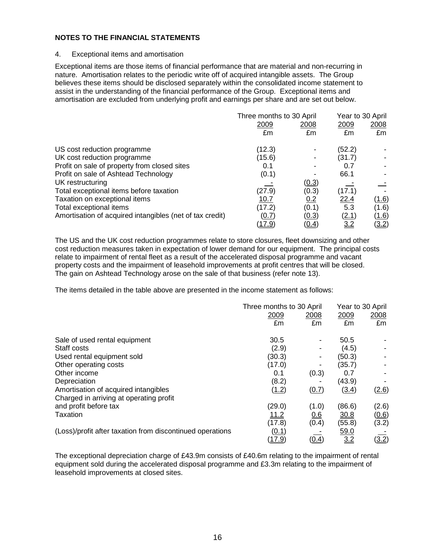#### 4. Exceptional items and amortisation

Exceptional items are those items of financial performance that are material and non-recurring in nature. Amortisation relates to the periodic write off of acquired intangible assets. The Group believes these items should be disclosed separately within the consolidated income statement to assist in the understanding of the financial performance of the Group.Exceptional items and amortisation are excluded from underlying profit and earnings per share and are set out below.

|                                                          | Three months to 30 April |              | Year to 30 April |              |
|----------------------------------------------------------|--------------------------|--------------|------------------|--------------|
|                                                          | 2009                     | 2008         | 2009             | 2008         |
|                                                          | £m                       | £m           | £m               | £m           |
| US cost reduction programme                              | (12.3)                   |              | (52.2)           |              |
| UK cost reduction programme                              | (15.6)                   |              | (31.7)           |              |
| Profit on sale of property from closed sites             | 0.1                      |              | 0.7              |              |
| Profit on sale of Ashtead Technology                     | (0.1)                    |              | 66.1             |              |
| UK restructuring                                         |                          | (0.3)        |                  |              |
| Total exceptional items before taxation                  | (27.9)                   | (0.3)        | (17.1)           |              |
| Taxation on exceptional items                            | 10.7                     | 0.2          | <u>22.4</u>      | <u>(1.6)</u> |
| Total exceptional items                                  | (17.2)                   | (0.1)        | 5.3              | (1.6)        |
| Amortisation of acquired intangibles (net of tax credit) | (0.7)                    | (0.3)        | (2.1)            | <u>(1.6)</u> |
|                                                          | 17.9)                    | <u>(0.4)</u> | <u>3.2</u>       | (3.2)        |

The US and the UK cost reduction programmes relate to store closures, fleet downsizing and other cost reduction measures taken in expectation of lower demand for our equipment. The principal costs relate to impairment of rental fleet as a result of the accelerated disposal programme and vacant property costs and the impairment of leasehold improvements at profit centres that will be closed. The gain on Ashtead Technology arose on the sale of that business (refer note 13).

The items detailed in the table above are presented in the income statement as follows:

|                                                           | Three months to 30 April | Year to 30 April |        |       |
|-----------------------------------------------------------|--------------------------|------------------|--------|-------|
|                                                           | 2009                     | 2008             | 2009   | 2008  |
|                                                           | £m                       | £m               | £m     | £m    |
| Sale of used rental equipment                             | 30.5                     |                  | 50.5   |       |
| Staff costs                                               | (2.9)                    |                  | (4.5)  |       |
| Used rental equipment sold                                | (30.3)                   |                  | (50.3) |       |
| Other operating costs                                     | (17.0)                   |                  | (35.7) |       |
| Other income                                              | 0.1                      | (0.3)            | 0.7    |       |
| Depreciation                                              | (8.2)                    |                  | (43.9) |       |
| Amortisation of acquired intangibles                      | (1.2)                    | (0.7)            | (3.4)  | (2.6) |
| Charged in arriving at operating profit                   |                          |                  |        |       |
| and profit before tax                                     | (29.0)                   | (1.0)            | (86.6) | (2.6) |
| Taxation                                                  | 11.2                     | 0.6              | 30.8   | (0.6) |
|                                                           | (17.8)                   | (0.4)            | (55.8) | (3.2) |
| (Loss)/profit after taxation from discontinued operations | (0.1)                    |                  | 59.0   |       |
|                                                           | <u>(17.9)</u>            | (0.4)            | 3.2    | (3.2) |

The exceptional depreciation charge of £43.9m consists of £40.6m relating to the impairment of rental equipment sold during the accelerated disposal programme and £3.3m relating to the impairment of leasehold improvements at closed sites.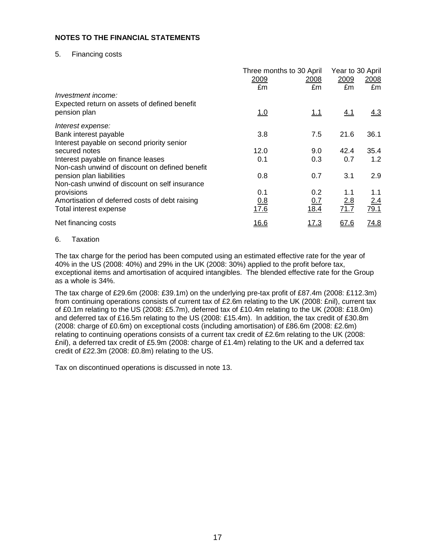#### 5. Financing costs

|                                                                                      | Three months to 30 April<br>2009<br>2008 |              | Year to 30 April<br>2009 | 2008        |
|--------------------------------------------------------------------------------------|------------------------------------------|--------------|--------------------------|-------------|
| Investment income:<br>Expected return on assets of defined benefit                   | £m                                       | £m           | £m                       | £m          |
| pension plan                                                                         | <u>1.0</u>                               | <u>1.1</u>   | 4.1                      | <u>4.3</u>  |
| Interest expense:                                                                    |                                          |              |                          |             |
| Bank interest payable<br>Interest payable on second priority senior                  | 3.8                                      | 7.5          | 21.6                     | 36.1        |
| secured notes                                                                        | 12.0                                     | 9.0          | 42.4                     | 35.4        |
| Interest payable on finance leases<br>Non-cash unwind of discount on defined benefit | 0.1                                      | 0.3          | 0.7                      | 1.2         |
| pension plan liabilities<br>Non-cash unwind of discount on self insurance            | 0.8                                      | 0.7          | 3.1                      | 2.9         |
| provisions                                                                           | 0.1                                      | 0.2          | 1.1                      | 1.1         |
| Amortisation of deferred costs of debt raising<br>Total interest expense             | 0.8<br>17.6                              | 0.7<br>18.4  | 2.8<br>71.7              | 2.4<br>79.1 |
| Net financing costs                                                                  | <u>16.6</u>                              | <u> 17.3</u> | 67.6                     | 74.8        |

#### 6. Taxation

The tax charge for the period has been computed using an estimated effective rate for the year of 40% in the US (2008: 40%) and 29% in the UK (2008: 30%) applied to the profit before tax, exceptional items and amortisation of acquired intangibles. The blended effective rate for the Group as a whole is 34%.

The tax charge of £29.6m (2008: £39.1m) on the underlying pre-tax profit of £87.4m (2008: £112.3m) from continuing operations consists of current tax of £2.6m relating to the UK (2008: £nil), current tax of £0.1m relating to the US (2008: £5.7m), deferred tax of £10.4m relating to the UK (2008: £18.0m) and deferred tax of £16.5m relating to the US (2008: £15.4m). In addition, the tax credit of £30.8m (2008: charge of £0.6m) on exceptional costs (including amortisation) of £86.6m (2008: £2.6m) relating to continuing operations consists of a current tax credit of £2.6m relating to the UK (2008: £nil), a deferred tax credit of £5.9m (2008: charge of £1.4m) relating to the UK and a deferred tax credit of £22.3m (2008: £0.8m) relating to the US.

Tax on discontinued operations is discussed in note 13.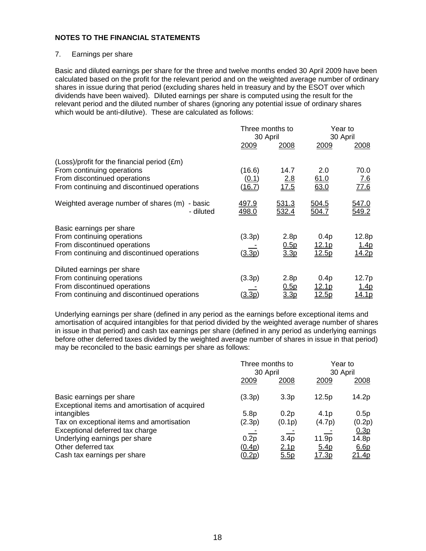#### 7. Earnings per share

Basic and diluted earnings per share for the three and twelve months ended 30 April 2009 have been calculated based on the profit for the relevant period and on the weighted average number of ordinary shares in issue during that period (excluding shares held in treasury and by the ESOT over which dividends have been waived). Diluted earnings per share is computed using the result for the relevant period and the diluted number of shares (ignoring any potential issue of ordinary shares which would be anti-dilutive). These are calculated as follows:

|                                                                                                                                                          | Three months to<br>30 April |                                  | Year to<br>30 April           |                                        |
|----------------------------------------------------------------------------------------------------------------------------------------------------------|-----------------------------|----------------------------------|-------------------------------|----------------------------------------|
|                                                                                                                                                          | 2009                        | 2008                             | 2009                          | 2008                                   |
| (Loss)/profit for the financial period (£m)<br>From continuing operations<br>From discontinued operations<br>From continuing and discontinued operations | (16.6)<br>(0.1)<br>(16.Z)   | 14.7<br>2.8<br>17.5              | 2.0<br>61.0<br>63.0           | 70.0<br><u>7.6</u><br><u>77.6</u>      |
| Weighted average number of shares (m)<br>- basic<br>- diluted                                                                                            | <u>497.9</u><br>498.0       | <u>531.3</u><br>532.4            | <u>504.5</u><br>504.7         | 547.0<br>549.2                         |
| Basic earnings per share<br>From continuing operations<br>From discontinued operations<br>From continuing and discontinued operations                    | (3.3p)<br>(3.3p)            | 2.8p<br>0.5p<br>3.3p             | 0.4p<br><u>12.1p</u><br>12.5p | 12.8p<br><u>1.4p</u><br>14.2p          |
| Diluted earnings per share<br>From continuing operations<br>From discontinued operations<br>From continuing and discontinued operations                  | (3.3p)<br><u>3.3p</u>       | 2.8p<br>0.5p<br>3.3 <sub>p</sub> | 0.4p<br><u>12.1p</u><br>12.5p | 12.7p<br><u> 1.4p</u><br><u> 14.1p</u> |

Underlying earnings per share (defined in any period as the earnings before exceptional items and amortisation of acquired intangibles for that period divided by the weighted average number of shares in issue in that period) and cash tax earnings per share (defined in any period as underlying earnings before other deferred taxes divided by the weighted average number of shares in issue in that period) may be reconciled to the basic earnings per share as follows:

|                                                                            |                            | Three months to<br>30 April          |                            | Year to<br>30 April       |
|----------------------------------------------------------------------------|----------------------------|--------------------------------------|----------------------------|---------------------------|
|                                                                            | 2009                       | 2008                                 | 2009                       | 2008                      |
| Basic earnings per share<br>Exceptional items and amortisation of acquired | (3.3p)                     | 3.3 <sub>p</sub>                     | 12.5p                      | 14.2p                     |
| intangibles<br>Tax on exceptional items and amortisation                   | 5.8 <sub>p</sub><br>(2.3p) | 0.2p<br>(0.1p)                       | 4.1 <sub>p</sub><br>(4.7p) | 0.5p<br>(0.2p)            |
| Exceptional deferred tax charge                                            |                            |                                      |                            | 0.3p                      |
| Underlying earnings per share<br>Other deferred tax                        | 0.2p<br>(0.4p)             | 3.4 <sub>p</sub><br>2.1 <sub>p</sub> | 11.9p<br><u>5.4p</u>       | 14.8p<br>6.6 <sub>p</sub> |
| Cash tax earnings per share                                                | (0.2p)                     | 5.5p                                 | <u>17.3p</u>               | <u>21.4p</u>              |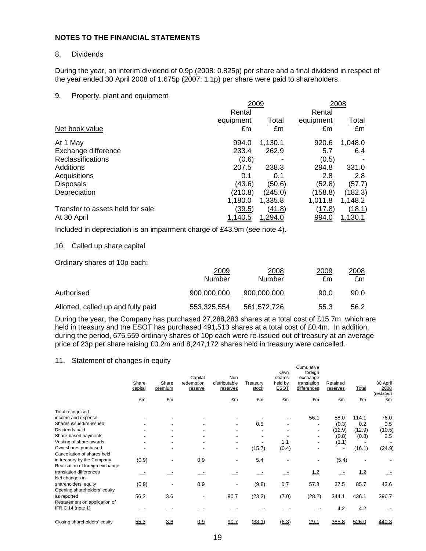#### 8. Dividends

During the year, an interim dividend of 0.9p (2008: 0.825p) per share and a final dividend in respect of the year ended 30 April 2008 of 1.675p (2007: 1.1p) per share were paid to shareholders.

#### 9. Property, plant and equipment

|                                  | 2009          |                | 2008      |                |  |
|----------------------------------|---------------|----------------|-----------|----------------|--|
|                                  | Rental        |                | Rental    |                |  |
|                                  | equipment     | <b>Total</b>   | equipment | <u>Total</u>   |  |
| Net book value                   | £m            | £m             | £m        | £m             |  |
| At 1 May                         | 994.0         | 1,130.1        | 920.6     | 1,048.0        |  |
| Exchange difference              | 233.4         | 262.9          | 5.7       | 6.4            |  |
| Reclassifications                | (0.6)         |                | (0.5)     |                |  |
| Additions                        | 207.5         | 238.3          | 294.8     | 331.0          |  |
| Acquisitions                     | 0.1           | 0.1            | 2.8       | 2.8            |  |
| <b>Disposals</b>                 | (43.6)        | (50.6)         | (52.8)    | (57.7)         |  |
| Depreciation                     | (210.8)       | (245.0)        | (158.8)   | (182.3)        |  |
|                                  | 1,180.0       | 1,335.8        | 1,011.8   | 1,148.2        |  |
| Transfer to assets held for sale | <u>(39.5)</u> | (41.8)         | (17.8)    | (18.1)         |  |
| At 30 April                      | 1,140.5       | <u>1,294.0</u> | 994.0     | <u>1,130.1</u> |  |

Included in depreciation is an impairment charge of £43.9m (see note 4).

#### 10. Called up share capital

Ordinary shares of 10p each:

|                                    | 2009<br>Number | 2008<br>Number | 2009<br>£m  | 2008<br>£m. |
|------------------------------------|----------------|----------------|-------------|-------------|
| Authorised                         | 900.000.000    | 900.000.000    | <u>90.0</u> | 90.0        |
| Allotted, called up and fully paid | 553,325,554    | 561.572.726    | <u>55.3</u> | <u>56.2</u> |

During the year, the Company has purchased 27,288,283 shares at a total cost of £15.7m, which are held in treasury and the ESOT has purchased 491,513 shares at a total cost of £0.4m. In addition, during the period, 675,559 ordinary shares of 10p each were re-issued out of treasury at an average price of 23p per share raising £0.2m and 8,247,172 shares held in treasury were cancelled.

#### 11. Statement of changes in equity

|                                 | Share<br>capital | Share<br>premium | Capital<br>redemption<br>reserve | Non<br>distributable<br>reserves | Treasurv<br>stock | Own<br>shares<br>held by<br><b>ESOT</b> | Cumulative<br>foreign<br>exchange<br>translation<br>differences | Retained<br>reserves | <b>Total</b> | 30 April<br>2008<br>(restated) |
|---------------------------------|------------------|------------------|----------------------------------|----------------------------------|-------------------|-----------------------------------------|-----------------------------------------------------------------|----------------------|--------------|--------------------------------|
|                                 | £m               | £m               |                                  | £m                               | £m                | £m                                      | £m                                                              | £m                   | £m           | £m                             |
| Total recognised                |                  |                  |                                  |                                  |                   |                                         |                                                                 |                      |              |                                |
| income and expense              |                  |                  |                                  |                                  |                   |                                         | 56.1                                                            | 58.0                 | 114.1        | 76.0                           |
| Shares issued/re-issued         |                  |                  |                                  | ۰.                               | 0.5               |                                         | ٠                                                               | (0.3)                | 0.2          | 0.5                            |
| Dividends paid                  |                  |                  |                                  |                                  |                   |                                         | ٠                                                               | (12.9)               | (12.9)       | (10.5)                         |
| Share-based payments            |                  |                  |                                  |                                  |                   |                                         |                                                                 | (0.8)                | (0.8)        | 2.5                            |
| Vesting of share awards         |                  |                  |                                  |                                  |                   | 1.1                                     |                                                                 | (1.1)                |              |                                |
| Own shares purchased            |                  | ٠                | ٠                                | ٠                                | (15.7)            | (0.4)                                   |                                                                 |                      | (16.1)       | (24.9)                         |
| Cancellation of shares held     |                  |                  |                                  |                                  |                   |                                         |                                                                 |                      |              |                                |
| in treasury by the Company      | (0.9)            |                  | 0.9                              |                                  | 5.4               |                                         |                                                                 | (5.4)                |              |                                |
| Realisation of foreign exchange |                  |                  |                                  |                                  |                   |                                         |                                                                 |                      |              |                                |
| translation differences         |                  |                  |                                  |                                  |                   |                                         | 1.2                                                             |                      | 1.2          |                                |
| Net changes in                  |                  |                  |                                  |                                  |                   |                                         |                                                                 |                      |              |                                |
| shareholders' equity            | (0.9)            |                  | 0.9                              | $\overline{\phantom{a}}$         | (9.8)             | 0.7                                     | 57.3                                                            | 37.5                 | 85.7         | 43.6                           |
| Opening shareholders' equity    |                  |                  |                                  |                                  |                   |                                         |                                                                 |                      |              |                                |
| as reported                     | 56.2             | 3.6              |                                  | 90.7                             | (23.3)            | (7.0)                                   | (28.2)                                                          | 344.1                | 436.1        | 396.7                          |
| Restatement on application of   |                  |                  |                                  |                                  |                   |                                         |                                                                 |                      |              |                                |
| IFRIC 14 (note 1)               |                  |                  |                                  |                                  |                   |                                         |                                                                 | 4.2                  | 4.2          |                                |
| Closing shareholders' equity    | 55.3             | 3.6              | 0.9                              | 90.7                             | (33.1)            | (6.3)                                   | 29.1                                                            | 385.8                | 526.0        | 440.3                          |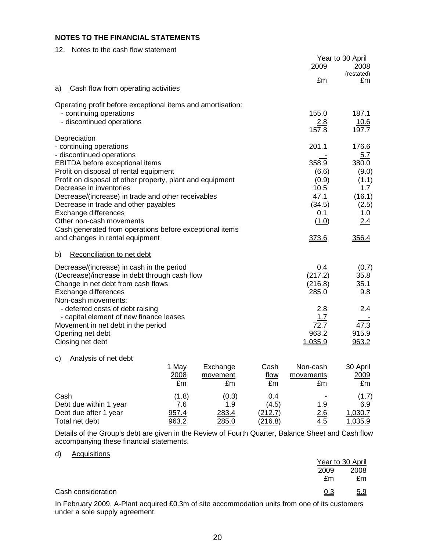| Notes to the cash flow statement<br>12.                                                             |                | Year to 30 April     |
|-----------------------------------------------------------------------------------------------------|----------------|----------------------|
|                                                                                                     | 2009           | 2008<br>(restated)   |
|                                                                                                     | £m             | £m                   |
| Cash flow from operating activities<br>a)                                                           |                |                      |
| Operating profit before exceptional items and amortisation:                                         |                |                      |
| - continuing operations                                                                             | 155.0          | 187.1                |
| - discontinued operations                                                                           | 2.8<br>157.8   | <u>10.6</u><br>197.7 |
| Depreciation                                                                                        |                |                      |
| - continuing operations                                                                             | 201.1          | 176.6                |
| - discontinued operations                                                                           |                | 5.7                  |
| <b>EBITDA</b> before exceptional items                                                              | 358.9          | 380.0                |
| Profit on disposal of rental equipment<br>Profit on disposal of other property, plant and equipment | (6.6)<br>(0.9) | (9.0)<br>(1.1)       |
| Decrease in inventories                                                                             | 10.5           | 1.7                  |
| Decrease/(increase) in trade and other receivables                                                  | 47.1           | (16.1)               |
| Decrease in trade and other payables                                                                | (34.5)         | (2.5)                |
| Exchange differences                                                                                | 0.1            | 1.0                  |
| Other non-cash movements                                                                            | (1.0)          | 2.4                  |
| Cash generated from operations before exceptional items                                             |                |                      |
| and changes in rental equipment                                                                     | 373.6          | 356.4                |
| b)<br>Reconciliation to net debt                                                                    |                |                      |
| Decrease/(increase) in cash in the period                                                           | 0.4            | (0.7)                |
| (Decrease)/increase in debt through cash flow                                                       | (217.2)        | 35.8                 |
| Change in net debt from cash flows                                                                  | (216.8)        | 35.1                 |
| Exchange differences                                                                                | 285.0          | 9.8                  |
| Non-cash movements:                                                                                 | 2.8            | 2.4                  |
| - deferred costs of debt raising<br>- capital element of new finance leases                         | 1.7            |                      |
| Movement in net debt in the period                                                                  | 72.7           | 47.3                 |
| Opening net debt                                                                                    | 963.2          | 915.9                |
| Closing net debt                                                                                    | 1.035.9        | 963.2                |
| Analysis of net debt<br>c)                                                                          |                |                      |
| 1 Mav<br>Exchange<br>Cash                                                                           | Non-cash.      | 30 Anril             |

|                        | ι ινισιν | LAVIIUIIYV    | <b>VUJII</b>   | ו וטשט ווערו             | 00101          |
|------------------------|----------|---------------|----------------|--------------------------|----------------|
|                        | 2008     | movement      | flow           | movements                | <u>2009</u>    |
|                        | £m       | £m            | £m             | £m                       | £m             |
| Cash                   | (1.8)    | (0.3)         | 0.4            | $\overline{\phantom{0}}$ | (1.7)          |
| Debt due within 1 year | 7.6      | 1.9           | (4.5)          | 1.9                      | 6.9            |
| Debt due after 1 year  | 957.4    | 283.4         | (212.7)        | 2.6                      | 1,030.7        |
| Total net debt         | 963.2    | <u> 285.0</u> | <u>(216.8)</u> | <u>4.5</u>               | <u>1.035.9</u> |

Details of the Group's debt are given in the Review of Fourth Quarter, Balance Sheet and Cash flow accompanying these financial statements.

#### d) Acquisitions

|                    |            | Year to 30 April |
|--------------------|------------|------------------|
|                    | 2009       | 2008             |
|                    | £m         | £m               |
| Cash consideration | <u>0.3</u> | 5.9              |
| .<br>.<br>----- -- |            |                  |

In February 2009, A-Plant acquired £0.3m of site accommodation units from one of its customers under a sole supply agreement.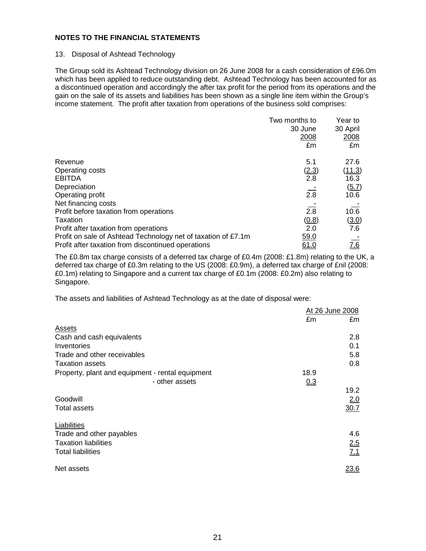#### 13. Disposal of Ashtead Technology

The Group sold its Ashtead Technology division on 26 June 2008 for a cash consideration of £96.0m which has been applied to reduce outstanding debt. Ashtead Technology has been accounted for as a discontinued operation and accordingly the after tax profit for the period from its operations and the gain on the sale of its assets and liabilities has been shown as a single line item within the Group's income statement. The profit after taxation from operations of the business sold comprises:

|                                                               | Two months to | Year to  |
|---------------------------------------------------------------|---------------|----------|
|                                                               | 30 June       | 30 April |
|                                                               | 2008          | 2008     |
|                                                               | £m            | £m       |
| Revenue                                                       | 5.1           | 27.6     |
| Operating costs                                               | (2.3)         | (11.3)   |
| <b>EBITDA</b>                                                 | 2.8           | 16.3     |
| Depreciation                                                  |               | (5.7)    |
| Operating profit                                              | 2.8           | 10.6     |
| Net financing costs                                           |               |          |
| Profit before taxation from operations                        | 2.8           | 10.6     |
| Taxation                                                      | (0.8)         | (3.0)    |
| Profit after taxation from operations                         | 2.0           | 7.6      |
| Profit on sale of Ashtead Technology net of taxation of £7.1m | 59.0          |          |
| Profit after taxation from discontinued operations            | 61.0          | 7.6      |

The £0.8m tax charge consists of a deferred tax charge of £0.4m (2008: £1.8m) relating to the UK, a deferred tax charge of £0.3m relating to the US (2008: £0.9m), a deferred tax charge of £nil (2008: £0.1m) relating to Singapore and a current tax charge of £0.1m (2008: £0.2m) also relating to Singapore.

The assets and liabilities of Ashtead Technology as at the date of disposal were:

|                                                  |      | At 26 June 2008 |
|--------------------------------------------------|------|-----------------|
|                                                  | £m   | £m              |
| <b>Assets</b>                                    |      |                 |
| Cash and cash equivalents                        |      | 2.8             |
| Inventories                                      |      | 0.1             |
| Trade and other receivables                      |      | 5.8             |
| <b>Taxation assets</b>                           |      | 0.8             |
| Property, plant and equipment - rental equipment | 18.9 |                 |
| - other assets                                   | 0.3  |                 |
|                                                  |      | 19.2            |
| Goodwill                                         |      | 2.0             |
| <b>Total assets</b>                              |      | 30.7            |
| Liabilities                                      |      |                 |
| Trade and other payables                         |      | 4.6             |
| <b>Taxation liabilities</b>                      |      | 2.5             |
| <b>Total liabilities</b>                         |      | 7.1             |
| Net assets                                       |      | <u>23.6</u>     |
|                                                  |      |                 |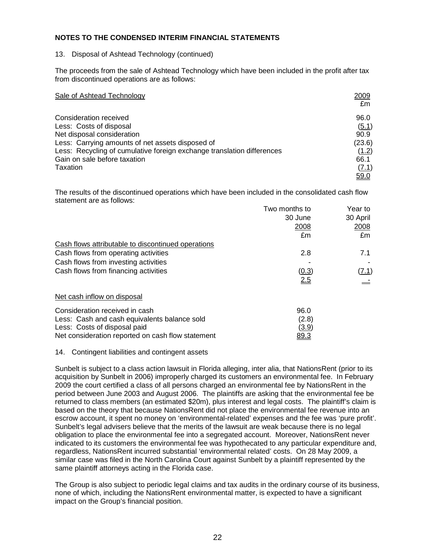#### **NOTES TO THE CONDENSED INTERIM FINANCIAL STATEMENTS**

#### 13. Disposal of Ashtead Technology (continued)

The proceeds from the sale of Ashtead Technology which have been included in the profit after tax from discontinued operations are as follows:

| Sale of Ashtead Technology                                             | 2009<br>£m  |
|------------------------------------------------------------------------|-------------|
| Consideration received                                                 | 96.0        |
| Less: Costs of disposal                                                | (5.1)       |
| Net disposal consideration                                             | 90.9        |
| Less: Carrying amounts of net assets disposed of                       | (23.6)      |
| Less: Recycling of cumulative foreign exchange translation differences | (1.2)       |
| Gain on sale before taxation                                           | 66.1        |
| Taxation                                                               | (7.1)       |
|                                                                        | <u>59.0</u> |

The results of the discontinued operations which have been included in the consolidated cash flow statement are as follows:

|                                                    | Two months to | Year to      |
|----------------------------------------------------|---------------|--------------|
|                                                    | 30 June       | 30 April     |
|                                                    | 2008          | 2008         |
|                                                    | £m            | £m           |
| Cash flows attributable to discontinued operations |               |              |
| Cash flows from operating activities               | 2.8           | 7.1          |
| Cash flows from investing activities               |               |              |
| Cash flows from financing activities               | (0.3)         | <u>(7.1)</u> |
|                                                    | <u>2.5</u>    |              |
| Net cash inflow on disposal                        |               |              |
| Consideration received in cash                     | 96.0          |              |
| Less: Cash and cash equivalents balance sold       | (2.8)         |              |
| Less: Costs of disposal paid                       | (3.9)         |              |
| Net consideration reported on cash flow statement  | <u>89.3</u>   |              |

#### 14. Contingent liabilities and contingent assets

Sunbelt is subject to a class action lawsuit in Florida alleging, inter alia, that NationsRent (prior to its acquisition by Sunbelt in 2006) improperly charged its customers an environmental fee. In February 2009 the court certified a class of all persons charged an environmental fee by NationsRent in the period between June 2003 and August 2006. The plaintiffs are asking that the environmental fee be returned to class members (an estimated \$20m), plus interest and legal costs. The plaintiff's claim is based on the theory that because NationsRent did not place the environmental fee revenue into an escrow account, it spent no money on 'environmental-related' expenses and the fee was 'pure profit'. Sunbelt's legal advisers believe that the merits of the lawsuit are weak because there is no legal obligation to place the environmental fee into a segregated account. Moreover, NationsRent never indicated to its customers the environmental fee was hypothecated to any particular expenditure and, regardless, NationsRent incurred substantial 'environmental related' costs. On 28 May 2009, a similar case was filed in the North Carolina Court against Sunbelt by a plaintiff represented by the same plaintiff attorneys acting in the Florida case.

The Group is also subject to periodic legal claims and tax audits in the ordinary course of its business, none of which, including the NationsRent environmental matter, is expected to have a significant impact on the Group's financial position.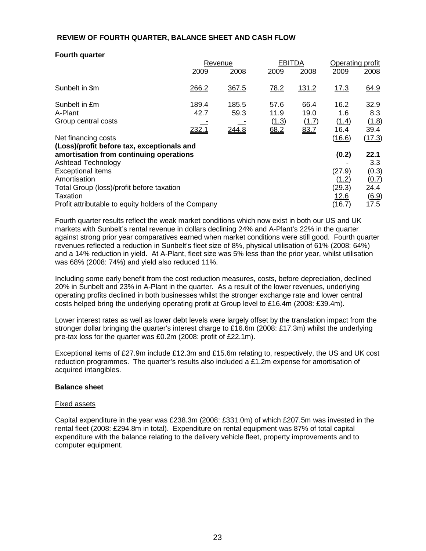#### **REVIEW OF FOURTH QUARTER, BALANCE SHEET AND CASH FLOW**

#### **Fourth quarter**

|                                                      | Revenue |       | <b>EBITDA</b> |       | Operating profit |        |
|------------------------------------------------------|---------|-------|---------------|-------|------------------|--------|
|                                                      | 2009    | 2008  | 2009          | 2008  | 2009             | 2008   |
| Sunbelt in \$m                                       | 266.2   | 367.5 | <u>78.2</u>   | 131.2 | <u>17.3</u>      | 64.9   |
| Sunbelt in £m                                        | 189.4   | 185.5 | 57.6          | 66.4  | 16.2             | 32.9   |
| A-Plant                                              | 42.7    | 59.3  | 11.9          | 19.0  | 1.6              | 8.3    |
| Group central costs                                  |         |       | (1.3)         | (1.7) | (1.4)            | (1.8)  |
|                                                      | 232.1   | 244.8 | 68.2          | 83.7  | 16.4             | 39.4   |
| Net financing costs                                  |         |       |               |       | (16.6)           | (17.3) |
| (Loss)/profit before tax, exceptionals and           |         |       |               |       |                  |        |
| amortisation from continuing operations              |         |       |               |       | (0.2)            | 22.1   |
| Ashtead Technology                                   |         |       |               |       |                  | 3.3    |
| <b>Exceptional items</b>                             |         |       |               |       | (27.9)           | (0.3)  |
| Amortisation                                         |         |       |               |       | (1.2)            | (0.7)  |
| Total Group (loss)/profit before taxation            |         |       |               |       | (29.3)           | 24.4   |
| Taxation                                             |         |       |               |       | 12.6             | (6.9)  |
| Profit attributable to equity holders of the Company |         |       |               |       | (16.7)           | 17.5   |

Fourth quarter results reflect the weak market conditions which now exist in both our US and UK markets with Sunbelt's rental revenue in dollars declining 24% and A-Plant's 22% in the quarter against strong prior year comparatives earned when market conditions were still good. Fourth quarter revenues reflected a reduction in Sunbelt's fleet size of 8%, physical utilisation of 61% (2008: 64%) and a 14% reduction in yield. At A-Plant, fleet size was 5% less than the prior year, whilst utilisation was 68% (2008: 74%) and yield also reduced 11%.

Including some early benefit from the cost reduction measures, costs, before depreciation, declined 20% in Sunbelt and 23% in A-Plant in the quarter. As a result of the lower revenues, underlying operating profits declined in both businesses whilst the stronger exchange rate and lower central costs helped bring the underlying operating profit at Group level to £16.4m (2008: £39.4m).

Lower interest rates as well as lower debt levels were largely offset by the translation impact from the stronger dollar bringing the quarter's interest charge to £16.6m (2008: £17.3m) whilst the underlying pre-tax loss for the quarter was £0.2m (2008: profit of £22.1m).

Exceptional items of £27.9m include £12.3m and £15.6m relating to, respectively, the US and UK cost reduction programmes. The quarter's results also included a £1.2m expense for amortisation of acquired intangibles.

#### **Balance sheet**

#### Fixed assets

Capital expenditure in the year was £238.3m (2008: £331.0m) of which £207.5m was invested in the rental fleet (2008: £294.8m in total). Expenditure on rental equipment was 87% of total capital expenditure with the balance relating to the delivery vehicle fleet, property improvements and to computer equipment.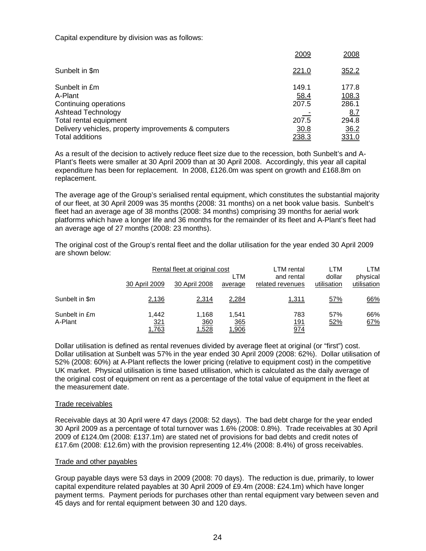Capital expenditure by division was as follows:

|                                                      | 2009  | 2008       |
|------------------------------------------------------|-------|------------|
| Sunbelt in \$m                                       | 221.0 | 352.2      |
| Sunbelt in £m                                        | 149.1 | 177.8      |
| A-Plant                                              | 58.4  | 108.3      |
| Continuing operations                                | 207.5 | 286.1      |
| <b>Ashtead Technology</b>                            |       | <u>8.7</u> |
| Total rental equipment                               | 207.5 | 294.8      |
| Delivery vehicles, property improvements & computers | 30.8  | 36.2       |
| Total additions                                      | 238.3 | 331.0      |

As a result of the decision to actively reduce fleet size due to the recession, both Sunbelt's and A-Plant's fleets were smaller at 30 April 2009 than at 30 April 2008. Accordingly, this year all capital expenditure has been for replacement. In 2008, £126.0m was spent on growth and £168.8m on replacement.

The average age of the Group's serialised rental equipment, which constitutes the substantial majority of our fleet, at 30 April 2009 was 35 months (2008: 31 months) on a net book value basis. Sunbelt's fleet had an average age of 38 months (2008: 34 months) comprising 39 months for aerial work platforms which have a longer life and 36 months for the remainder of its fleet and A-Plant's fleet had an average age of 27 months (2008: 23 months).

The original cost of the Group's rental fleet and the dollar utilisation for the year ended 30 April 2009 are shown below:

|                          | Rental fleet at original cost<br>LTM |                              | <b>LTM</b> rental<br>and rental | LTM<br>dollar             | LTM<br>physical |             |
|--------------------------|--------------------------------------|------------------------------|---------------------------------|---------------------------|-----------------|-------------|
|                          | 30 April 2009                        | 30 April 2008                | average                         | related revenues          | utilisation     | utilisation |
| Sunbelt in \$m           | 2,136                                | 2,314                        | 2,284                           | 1,311                     | 57%             | 66%         |
| Sunbelt in £m<br>A-Plant | 1.442<br><u>321</u><br>1,763         | 1.168<br>360<br><u>1,528</u> | 1.541<br><u>365</u><br>0.906    | 783<br><u> 191</u><br>974 | 57%<br>52%      | 66%<br>67%  |

Dollar utilisation is defined as rental revenues divided by average fleet at original (or "first") cost. Dollar utilisation at Sunbelt was 57% in the year ended 30 April 2009 (2008: 62%). Dollar utilisation of 52% (2008: 60%) at A-Plant reflects the lower pricing (relative to equipment cost) in the competitive UK market. Physical utilisation is time based utilisation, which is calculated as the daily average of the original cost of equipment on rent as a percentage of the total value of equipment in the fleet at the measurement date.

#### Trade receivables

Receivable days at 30 April were 47 days (2008: 52 days). The bad debt charge for the year ended 30 April 2009 as a percentage of total turnover was 1.6% (2008: 0.8%). Trade receivables at 30 April 2009 of £124.0m (2008: £137.1m) are stated net of provisions for bad debts and credit notes of £17.6m (2008: £12.6m) with the provision representing 12.4% (2008: 8.4%) of gross receivables.

#### Trade and other payables

Group payable days were 53 days in 2009 (2008: 70 days). The reduction is due, primarily, to lower capital expenditure related payables at 30 April 2009 of £9.4m (2008: £24.1m) which have longer payment terms. Payment periods for purchases other than rental equipment vary between seven and 45 days and for rental equipment between 30 and 120 days.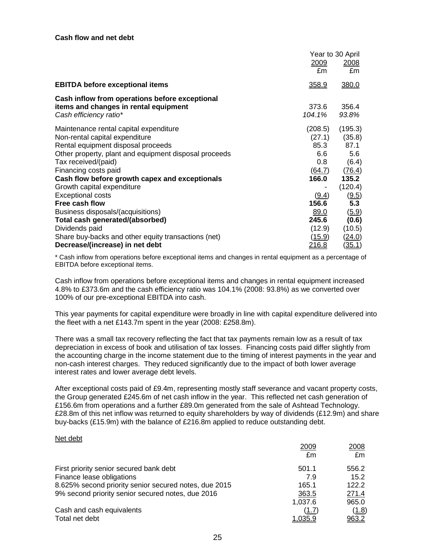|                                                       | Year to 30 April |               |
|-------------------------------------------------------|------------------|---------------|
|                                                       | <u>2009</u>      | 2008          |
|                                                       | £m               | £m            |
| <b>EBITDA before exceptional items</b>                | 358.9            | 380.0         |
| Cash inflow from operations before exceptional        |                  |               |
| items and changes in rental equipment                 | 373.6            | 356.4         |
| Cash efficiency ratio*                                | 104.1%           | 93.8%         |
| Maintenance rental capital expenditure                | (208.5)          | (195.3)       |
| Non-rental capital expenditure                        | (27.1)           | (35.8)        |
| Rental equipment disposal proceeds                    | 85.3             | 87.1          |
| Other property, plant and equipment disposal proceeds | 6.6              | 5.6           |
| Tax received/(paid)                                   | $0.8\,$          | (6.4)         |
| Financing costs paid                                  | (64.7)           | (76.4)        |
| Cash flow before growth capex and exceptionals        | 166.0            | 135.2         |
| Growth capital expenditure                            |                  | (120.4)       |
| <b>Exceptional costs</b>                              | (9.4)            | (9.5)         |
| Free cash flow                                        | 156.6            | 5.3           |
| Business disposals/(acquisitions)                     | 89.0             | (5.9)         |
| Total cash generated/(absorbed)                       | 245.6            | (0.6)         |
| Dividends paid                                        | (12.9)           | (10.5)        |
| Share buy-backs and other equity transactions (net)   | <u>(15.9)</u>    | <u>(24.0)</u> |
| Decrease/(increase) in net debt                       | <u> 216.8</u>    | <u>(35.1)</u> |

\* Cash inflow from operations before exceptional items and changes in rental equipment as a percentage of EBITDA before exceptional items.

Cash inflow from operations before exceptional items and changes in rental equipment increased 4.8% to £373.6m and the cash efficiency ratio was 104.1% (2008: 93.8%) as we converted over 100% of our pre-exceptional EBITDA into cash.

This year payments for capital expenditure were broadly in line with capital expenditure delivered into the fleet with a net £143.7m spent in the year (2008: £258.8m).

There was a small tax recovery reflecting the fact that tax payments remain low as a result of tax depreciation in excess of book and utilisation of tax losses. Financing costs paid differ slightly from the accounting charge in the income statement due to the timing of interest payments in the year and non-cash interest charges. They reduced significantly due to the impact of both lower average interest rates and lower average debt levels.

After exceptional costs paid of £9.4m, representing mostly staff severance and vacant property costs, the Group generated £245.6m of net cash inflow in the year. This reflected net cash generation of £156.6m from operations and a further £89.0m generated from the sale of Ashtead Technology. £28.8m of this net inflow was returned to equity shareholders by way of dividends (£12.9m) and share buy-backs (£15.9m) with the balance of £216.8m applied to reduce outstanding debt.

#### Net debt

|                                                       | 2009    | 2008  |
|-------------------------------------------------------|---------|-------|
|                                                       | £m      | £m    |
| First priority senior secured bank debt               | 501.1   | 556.2 |
| Finance lease obligations                             | 7.9     | 15.2  |
| 8.625% second priority senior secured notes, due 2015 | 165.1   | 122.2 |
| 9% second priority senior secured notes, due 2016     | 363.5   | 271.4 |
|                                                       | 1,037.6 | 965.0 |
| Cash and cash equivalents                             | (1.7)   | (1.8) |
| Total net debt                                        | 1.035.9 | 963.2 |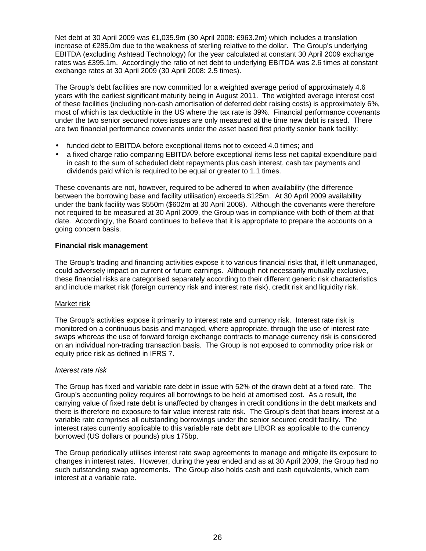Net debt at 30 April 2009 was £1,035.9m (30 April 2008: £963.2m) which includes a translation increase of £285.0m due to the weakness of sterling relative to the dollar. The Group's underlying EBITDA (excluding Ashtead Technology) for the year calculated at constant 30 April 2009 exchange rates was £395.1m. Accordingly the ratio of net debt to underlying EBITDA was 2.6 times at constant exchange rates at 30 April 2009 (30 April 2008: 2.5 times).

The Group's debt facilities are now committed for a weighted average period of approximately 4.6 years with the earliest significant maturity being in August 2011. The weighted average interest cost of these facilities (including non-cash amortisation of deferred debt raising costs) is approximately 6%, most of which is tax deductible in the US where the tax rate is 39%. Financial performance covenants under the two senior secured notes issues are only measured at the time new debt is raised. There are two financial performance covenants under the asset based first priority senior bank facility:

- funded debt to EBITDA before exceptional items not to exceed 4.0 times; and
- a fixed charge ratio comparing EBITDA before exceptional items less net capital expenditure paid in cash to the sum of scheduled debt repayments plus cash interest, cash tax payments and dividends paid which is required to be equal or greater to 1.1 times.

These covenants are not, however, required to be adhered to when availability (the difference between the borrowing base and facility utilisation) exceeds \$125m. At 30 April 2009 availability under the bank facility was \$550m (\$602m at 30 April 2008). Although the covenants were therefore not required to be measured at 30 April 2009, the Group was in compliance with both of them at that date. Accordingly, the Board continues to believe that it is appropriate to prepare the accounts on a going concern basis.

### **Financial risk management**

The Group's trading and financing activities expose it to various financial risks that, if left unmanaged, could adversely impact on current or future earnings. Although not necessarily mutually exclusive, these financial risks are categorised separately according to their different generic risk characteristics and include market risk (foreign currency risk and interest rate risk), credit risk and liquidity risk.

# Market risk

The Group's activities expose it primarily to interest rate and currency risk. Interest rate risk is monitored on a continuous basis and managed, where appropriate, through the use of interest rate swaps whereas the use of forward foreign exchange contracts to manage currency risk is considered on an individual non-trading transaction basis. The Group is not exposed to commodity price risk or equity price risk as defined in IFRS 7.

#### Interest rate risk

The Group has fixed and variable rate debt in issue with 52% of the drawn debt at a fixed rate. The Group's accounting policy requires all borrowings to be held at amortised cost. As a result, the carrying value of fixed rate debt is unaffected by changes in credit conditions in the debt markets and there is therefore no exposure to fair value interest rate risk. The Group's debt that bears interest at a variable rate comprises all outstanding borrowings under the senior secured credit facility. The interest rates currently applicable to this variable rate debt are LIBOR as applicable to the currency borrowed (US dollars or pounds) plus 175bp.

The Group periodically utilises interest rate swap agreements to manage and mitigate its exposure to changes in interest rates. However, during the year ended and as at 30 April 2009, the Group had no such outstanding swap agreements. The Group also holds cash and cash equivalents, which earn interest at a variable rate.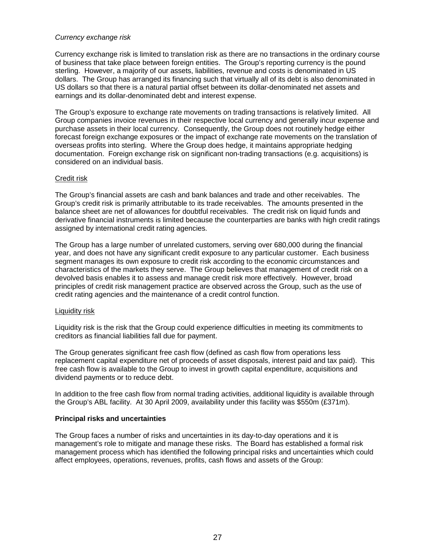#### Currency exchange risk

Currency exchange risk is limited to translation risk as there are no transactions in the ordinary course of business that take place between foreign entities. The Group's reporting currency is the pound sterling. However, a majority of our assets, liabilities, revenue and costs is denominated in US dollars. The Group has arranged its financing such that virtually all of its debt is also denominated in US dollars so that there is a natural partial offset between its dollar-denominated net assets and earnings and its dollar-denominated debt and interest expense.

The Group's exposure to exchange rate movements on trading transactions is relatively limited. All Group companies invoice revenues in their respective local currency and generally incur expense and purchase assets in their local currency. Consequently, the Group does not routinely hedge either forecast foreign exchange exposures or the impact of exchange rate movements on the translation of overseas profits into sterling. Where the Group does hedge, it maintains appropriate hedging documentation. Foreign exchange risk on significant non-trading transactions (e.g. acquisitions) is considered on an individual basis.

#### Credit risk

The Group's financial assets are cash and bank balances and trade and other receivables. The Group's credit risk is primarily attributable to its trade receivables. The amounts presented in the balance sheet are net of allowances for doubtful receivables. The credit risk on liquid funds and derivative financial instruments is limited because the counterparties are banks with high credit ratings assigned by international credit rating agencies.

The Group has a large number of unrelated customers, serving over 680,000 during the financial year, and does not have any significant credit exposure to any particular customer. Each business segment manages its own exposure to credit risk according to the economic circumstances and characteristics of the markets they serve. The Group believes that management of credit risk on a devolved basis enables it to assess and manage credit risk more effectively. However, broad principles of credit risk management practice are observed across the Group, such as the use of credit rating agencies and the maintenance of a credit control function.

#### Liquidity risk

Liquidity risk is the risk that the Group could experience difficulties in meeting its commitments to creditors as financial liabilities fall due for payment.

The Group generates significant free cash flow (defined as cash flow from operations less replacement capital expenditure net of proceeds of asset disposals, interest paid and tax paid). This free cash flow is available to the Group to invest in growth capital expenditure, acquisitions and dividend payments or to reduce debt.

In addition to the free cash flow from normal trading activities, additional liquidity is available through the Group's ABL facility. At 30 April 2009, availability under this facility was \$550m (£371m).

#### **Principal risks and uncertainties**

The Group faces a number of risks and uncertainties in its day-to-day operations and it is management's role to mitigate and manage these risks. The Board has established a formal risk management process which has identified the following principal risks and uncertainties which could affect employees, operations, revenues, profits, cash flows and assets of the Group: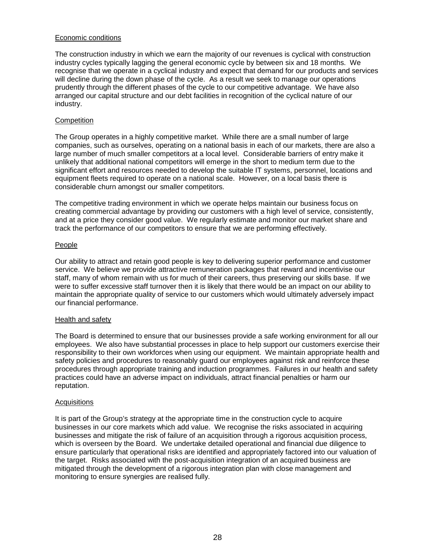#### Economic conditions

The construction industry in which we earn the majority of our revenues is cyclical with construction industry cycles typically lagging the general economic cycle by between six and 18 months. We recognise that we operate in a cyclical industry and expect that demand for our products and services will decline during the down phase of the cycle. As a result we seek to manage our operations prudently through the different phases of the cycle to our competitive advantage. We have also arranged our capital structure and our debt facilities in recognition of the cyclical nature of our industry.

#### **Competition**

The Group operates in a highly competitive market. While there are a small number of large companies, such as ourselves, operating on a national basis in each of our markets, there are also a large number of much smaller competitors at a local level. Considerable barriers of entry make it unlikely that additional national competitors will emerge in the short to medium term due to the significant effort and resources needed to develop the suitable IT systems, personnel, locations and equipment fleets required to operate on a national scale. However, on a local basis there is considerable churn amongst our smaller competitors.

The competitive trading environment in which we operate helps maintain our business focus on creating commercial advantage by providing our customers with a high level of service, consistently, and at a price they consider good value. We regularly estimate and monitor our market share and track the performance of our competitors to ensure that we are performing effectively.

#### People

Our ability to attract and retain good people is key to delivering superior performance and customer service. We believe we provide attractive remuneration packages that reward and incentivise our staff, many of whom remain with us for much of their careers, thus preserving our skills base. If we were to suffer excessive staff turnover then it is likely that there would be an impact on our ability to maintain the appropriate quality of service to our customers which would ultimately adversely impact our financial performance.

#### Health and safety

The Board is determined to ensure that our businesses provide a safe working environment for all our employees. We also have substantial processes in place to help support our customers exercise their responsibility to their own workforces when using our equipment. We maintain appropriate health and safety policies and procedures to reasonably guard our employees against risk and reinforce these procedures through appropriate training and induction programmes. Failures in our health and safety practices could have an adverse impact on individuals, attract financial penalties or harm our reputation.

#### **Acquisitions**

It is part of the Group's strategy at the appropriate time in the construction cycle to acquire businesses in our core markets which add value. We recognise the risks associated in acquiring businesses and mitigate the risk of failure of an acquisition through a rigorous acquisition process, which is overseen by the Board. We undertake detailed operational and financial due diligence to ensure particularly that operational risks are identified and appropriately factored into our valuation of the target. Risks associated with the post-acquisition integration of an acquired business are mitigated through the development of a rigorous integration plan with close management and monitoring to ensure synergies are realised fully.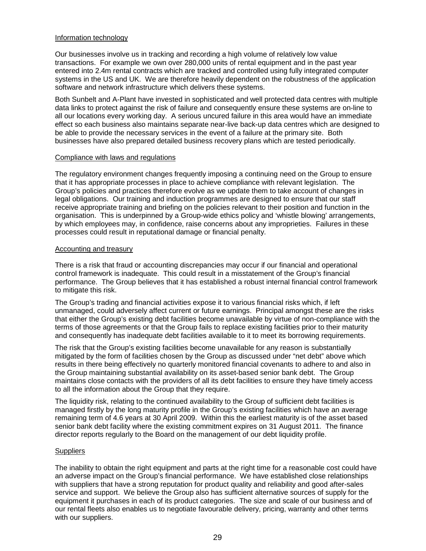#### Information technology

Our businesses involve us in tracking and recording a high volume of relatively low value transactions. For example we own over 280,000 units of rental equipment and in the past year entered into 2.4m rental contracts which are tracked and controlled using fully integrated computer systems in the US and UK. We are therefore heavily dependent on the robustness of the application software and network infrastructure which delivers these systems.

Both Sunbelt and A-Plant have invested in sophisticated and well protected data centres with multiple data links to protect against the risk of failure and consequently ensure these systems are on-line to all our locations every working day. A serious uncured failure in this area would have an immediate effect so each business also maintains separate near-live back-up data centres which are designed to be able to provide the necessary services in the event of a failure at the primary site. Both businesses have also prepared detailed business recovery plans which are tested periodically.

#### Compliance with laws and regulations

The regulatory environment changes frequently imposing a continuing need on the Group to ensure that it has appropriate processes in place to achieve compliance with relevant legislation. The Group's policies and practices therefore evolve as we update them to take account of changes in legal obligations. Our training and induction programmes are designed to ensure that our staff receive appropriate training and briefing on the policies relevant to their position and function in the organisation. This is underpinned by a Group-wide ethics policy and 'whistle blowing' arrangements, by which employees may, in confidence, raise concerns about any improprieties. Failures in these processes could result in reputational damage or financial penalty.

#### Accounting and treasury

There is a risk that fraud or accounting discrepancies may occur if our financial and operational control framework is inadequate. This could result in a misstatement of the Group's financial performance. The Group believes that it has established a robust internal financial control framework to mitigate this risk.

The Group's trading and financial activities expose it to various financial risks which, if left unmanaged, could adversely affect current or future earnings. Principal amongst these are the risks that either the Group's existing debt facilities become unavailable by virtue of non-compliance with the terms of those agreements or that the Group fails to replace existing facilities prior to their maturity and consequently has inadequate debt facilities available to it to meet its borrowing requirements.

The risk that the Group's existing facilities become unavailable for any reason is substantially mitigated by the form of facilities chosen by the Group as discussed under "net debt" above which results in there being effectively no quarterly monitored financial covenants to adhere to and also in the Group maintaining substantial availability on its asset-based senior bank debt. The Group maintains close contacts with the providers of all its debt facilities to ensure they have timely access to all the information about the Group that they require.

The liquidity risk, relating to the continued availability to the Group of sufficient debt facilities is managed firstly by the long maturity profile in the Group's existing facilities which have an average remaining term of 4.6 years at 30 April 2009. Within this the earliest maturity is of the asset based senior bank debt facility where the existing commitment expires on 31 August 2011. The finance director reports regularly to the Board on the management of our debt liquidity profile.

#### **Suppliers**

The inability to obtain the right equipment and parts at the right time for a reasonable cost could have an adverse impact on the Group's financial performance. We have established close relationships with suppliers that have a strong reputation for product quality and reliability and good after-sales service and support. We believe the Group also has sufficient alternative sources of supply for the equipment it purchases in each of its product categories. The size and scale of our business and of our rental fleets also enables us to negotiate favourable delivery, pricing, warranty and other terms with our suppliers.